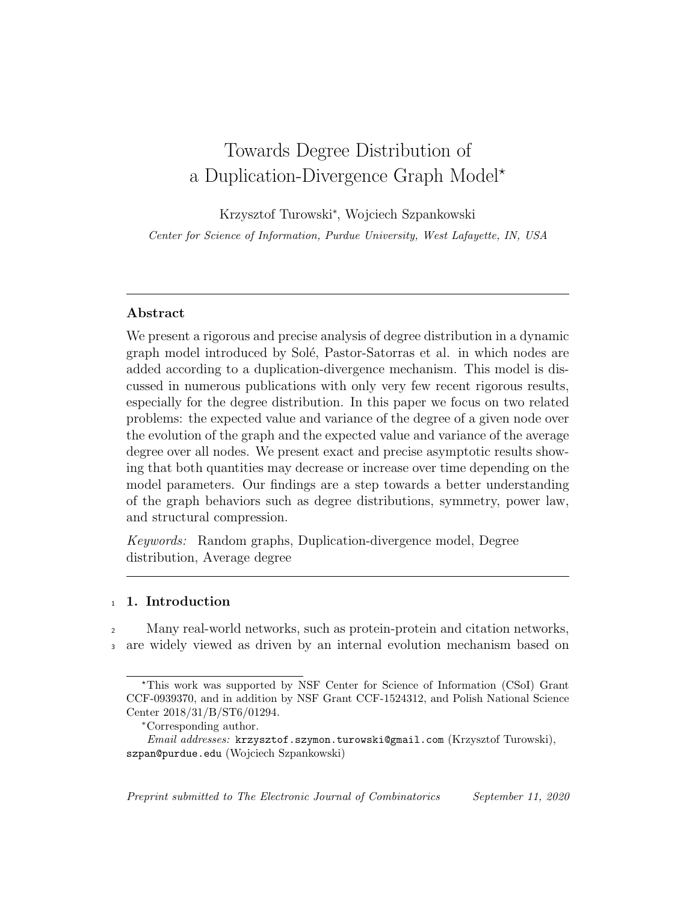# Towards Degree Distribution of a Duplication-Divergence Graph Model\*

Krzysztof Turowski<sup>∗</sup> , Wojciech Szpankowski

Center for Science of Information, Purdue University, West Lafayette, IN, USA

# Abstract

We present a rigorous and precise analysis of degree distribution in a dynamic graph model introduced by Solé, Pastor-Satorras et al. in which nodes are added according to a duplication-divergence mechanism. This model is discussed in numerous publications with only very few recent rigorous results, especially for the degree distribution. In this paper we focus on two related problems: the expected value and variance of the degree of a given node over the evolution of the graph and the expected value and variance of the average degree over all nodes. We present exact and precise asymptotic results showing that both quantities may decrease or increase over time depending on the model parameters. Our findings are a step towards a better understanding of the graph behaviors such as degree distributions, symmetry, power law, and structural compression.

Keywords: Random graphs, Duplication-divergence model, Degree distribution, Average degree

# 1. Introduction

Many real-world networks, such as protein-protein and citation networks, <sup>3</sup> are widely viewed as driven by an internal evolution mechanism based on

Preprint submitted to The Electronic Journal of Combinatorics September 11, 2020

<sup>?</sup>This work was supported by NSF Center for Science of Information (CSoI) Grant CCF-0939370, and in addition by NSF Grant CCF-1524312, and Polish National Science Center 2018/31/B/ST6/01294.

<sup>∗</sup>Corresponding author.

Email addresses: krzysztof.szymon.turowski@gmail.com (Krzysztof Turowski), szpan@purdue.edu (Wojciech Szpankowski)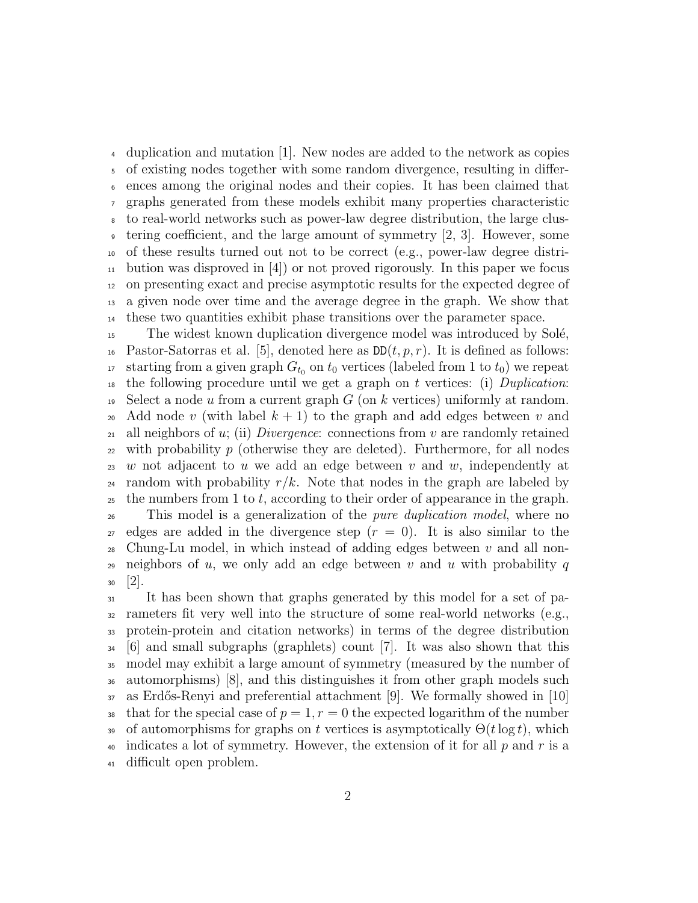duplication and mutation [1]. New nodes are added to the network as copies of existing nodes together with some random divergence, resulting in differ- ences among the original nodes and their copies. It has been claimed that graphs generated from these models exhibit many properties characteristic to real-world networks such as power-law degree distribution, the large clus- tering coefficient, and the large amount of symmetry [2, 3]. However, some of these results turned out not to be correct (e.g., power-law degree distri-<sup>11</sup> bution was disproved in  $[4]$ ) or not proved rigorously. In this paper we focus on presenting exact and precise asymptotic results for the expected degree of a given node over time and the average degree in the graph. We show that these two quantities exhibit phase transitions over the parameter space.

<sup>15</sup> The widest known duplication divergence model was introduced by Solé, <sup>16</sup> Pastor-Satorras et al. [5], denoted here as  $DD(t, p, r)$ . It is defined as follows: 17 starting from a given graph  $G_{t_0}$  on  $t_0$  vertices (labeled from 1 to  $t_0$ ) we repeat <sup>18</sup> the following procedure until we get a graph on t vertices: (i) Duplication: 19 Select a node u from a current graph G (on k vertices) uniformly at random. <sup>20</sup> Add node v (with label  $k + 1$ ) to the graph and add edges between v and <sup>21</sup> all neighbors of u; (ii) *Divergence*: connections from v are randomly retained 22 with probability p (otherwise they are deleted). Furthermore, for all nodes 23 w not adjacent to u we add an edge between v and w, independently at 24 random with probability  $r/k$ . Note that nodes in the graph are labeled by  $25$  the numbers from 1 to t, according to their order of appearance in the graph. <sup>26</sup> This model is a generalization of the pure duplication model, where no

<sub>27</sub> edges are added in the divergence step  $(r = 0)$ . It is also similar to the <sup>28</sup> Chung-Lu model, in which instead of adding edges between  $v$  and all non-29 neighbors of u, we only add an edge between v and u with probability q  $30$  [2].

 It has been shown that graphs generated by this model for a set of pa- rameters fit very well into the structure of some real-world networks (e.g., protein-protein and citation networks) in terms of the degree distribution [6] and small subgraphs (graphlets) count [7]. It was also shown that this model may exhibit a large amount of symmetry (measured by the number of automorphisms) [8], and this distinguishes it from other graph models such as Erdős-Renyi and preferential attachment [9]. We formally showed in [10] 38 that for the special case of  $p = 1, r = 0$  the expected logarithm of the number 39 of automorphisms for graphs on t vertices is asymptotically  $\Theta(t \log t)$ , which 40 indicates a lot of symmetry. However, the extension of it for all  $p$  and  $r$  is a difficult open problem.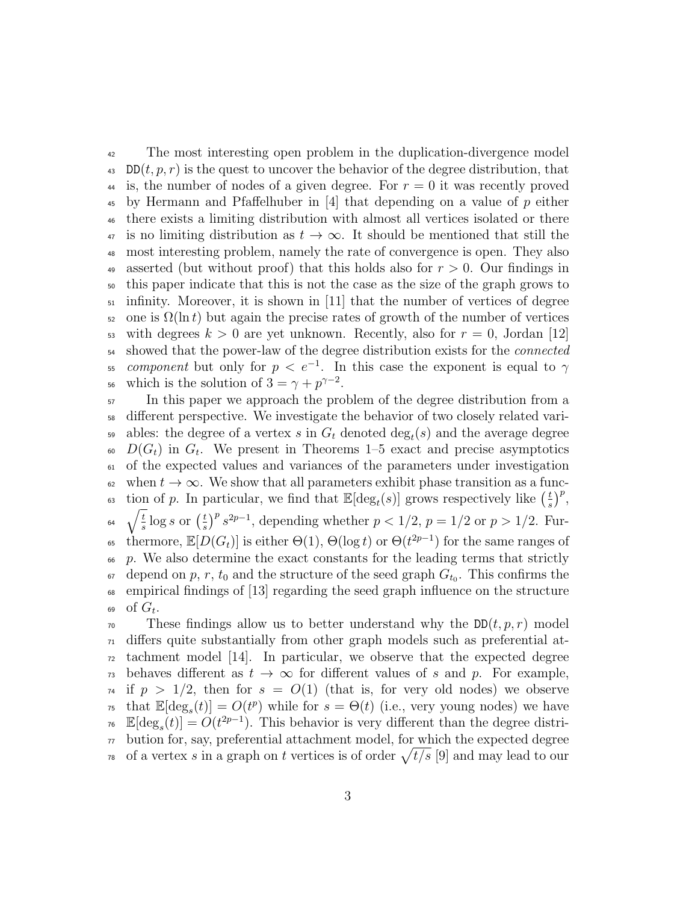<sup>42</sup> The most interesting open problem in the duplication-divergence model 43 DD $(t, p, r)$  is the quest to uncover the behavior of the degree distribution, that <sup>44</sup> is, the number of nodes of a given degree. For  $r = 0$  it was recently proved  $\frac{4}{5}$  by Hermann and Pfaffelhuber in [4] that depending on a value of p either <sup>46</sup> there exists a limiting distribution with almost all vertices isolated or there  $\overline{47}$  is no limiting distribution as  $t \to \infty$ . It should be mentioned that still the <sup>48</sup> most interesting problem, namely the rate of convergence is open. They also 49 asserted (but without proof) that this holds also for  $r > 0$ . Our findings in <sup>50</sup> this paper indicate that this is not the case as the size of the graph grows to  $_{51}$  infinity. Moreover, it is shown in [11] that the number of vertices of degree  $\epsilon_{52}$  one is  $\Omega(\ln t)$  but again the precise rates of growth of the number of vertices 53 with degrees  $k > 0$  are yet unknown. Recently, also for  $r = 0$ , Jordan [12] <sup>54</sup> showed that the power-law of the degree distribution exists for the connected  $\sigma$ <sub>55</sub> *component* but only for  $p < e^{-1}$ . In this case the exponent is equal to  $\gamma$ <sup>56</sup> which is the solution of  $3 = \gamma + p^{\gamma - 2}$ .

<sup>57</sup> In this paper we approach the problem of the degree distribution from a <sup>58</sup> different perspective. We investigate the behavior of two closely related vari-<sup>59</sup> ables: the degree of a vertex s in  $G_t$  denoted  $\deg_t(s)$  and the average degree  $D(G_t)$  in  $G_t$ . We present in Theorems 1–5 exact and precise asymptotics <sup>61</sup> of the expected values and variances of the parameters under investigation 62 when  $t \to \infty$ . We show that all parameters exhibit phase transition as a function of p. In particular, we find that  $\mathbb{E}[\deg_t(s)]$  grows respectively like  $\left(\frac{t}{s}\right)$ <sup>63</sup> tion of p. In particular, we find that  $\mathbb{E}[\deg_t(s)]$  grows respectively like  $(\frac{t}{s})^p$ ,  $\int_{t}$  $\frac{t}{s} \log s$  or  $\left(\frac{t}{s}\right)$ <sup>64</sup>  $\sqrt{\frac{t}{s}} \log s$  or  $\left(\frac{t}{s}\right)^p s^{2p-1}$ , depending whether  $p < 1/2$ ,  $p = 1/2$  or  $p > 1/2$ . Furthermore,  $\mathbb{E}[D(G_t)]$  is either  $\Theta(1)$ ,  $\Theta(\log t)$  or  $\Theta(t^{2p-1})$  for the same ranges of  $66$  p. We also determine the exact constants for the leading terms that strictly <sup>67</sup> depend on p, r,  $t_0$  and the structure of the seed graph  $G_{t_0}$ . This confirms the <sup>68</sup> empirical findings of [13] regarding the seed graph influence on the structure 69 of  $G_t$ .

 $\tau_0$  These findings allow us to better understand why the DD(t, p, r) model  $\pi_1$  differs quite substantially from other graph models such as preferential at- $\alpha$  tachment model [14]. In particular, we observe that the expected degree <sup>73</sup> behaves different as  $t \to \infty$  for different values of s and p. For example,  $74$  if  $p > 1/2$ , then for  $s = O(1)$  (that is, for very old nodes) we observe <sup>75</sup> that  $\mathbb{E}[\deg_s(t)] = O(t^p)$  while for  $s = \Theta(t)$  (i.e., very young nodes) we have <sup>76</sup>  $\mathbb{E}[\deg_s(t)] = O(t^{2p-1})$ . This behavior is very different than the degree distri- $77$  bution for, say, preferential attachment model, for which the expected degree <sup>78</sup> of a vertex s in a graph on t vertices is of order  $\sqrt{t/s}$  [9] and may lead to our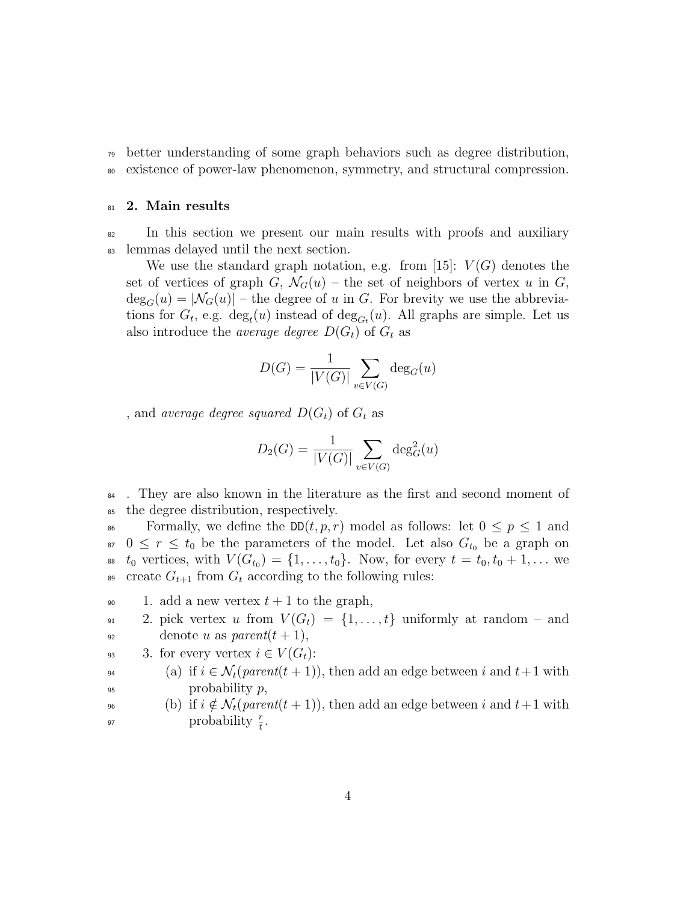<sup>79</sup> better understanding of some graph behaviors such as degree distribution, <sup>80</sup> existence of power-law phenomenon, symmetry, and structural compression.

## 81 2. Main results

<sup>82</sup> In this section we present our main results with proofs and auxiliary <sup>83</sup> lemmas delayed until the next section.

We use the standard graph notation, e.g. from [15]:  $V(G)$  denotes the set of vertices of graph G,  $\mathcal{N}_G(u)$  – the set of neighbors of vertex u in G,  $deg_G(u) = |\mathcal{N}_G(u)|$  – the degree of u in G. For brevity we use the abbreviations for  $G_t$ , e.g.  $\deg_t(u)$  instead of  $\deg_{G_t}(u)$ . All graphs are simple. Let us also introduce the *average degree*  $D(G_t)$  of  $G_t$  as

$$
D(G) = \frac{1}{|V(G)|} \sum_{v \in V(G)} \deg_G(u)
$$

, and average degree squared  $D(G_t)$  of  $G_t$  as

$$
D_2(G) = \frac{1}{|V(G)|} \sum_{v \in V(G)} \deg_G^2(u)
$$

<sup>84</sup>. They are also known in the literature as the first and second moment of <sup>85</sup> the degree distribution, respectively.

86 Formally, we define the  $DD(t, p, r)$  model as follows: let  $0 \leq p \leq 1$  and <sup>87</sup>  $0 \leq r \leq t_0$  be the parameters of the model. Let also  $G_{t_0}$  be a graph on ss  $t_0$  vertices, with  $V(G_{t_0}) = \{1, ..., t_0\}$ . Now, for every  $t = t_0, t_0 + 1, ...$  we 89 create  $G_{t+1}$  from  $G_t$  according to the following rules:

- 90 1. add a new vertex  $t + 1$  to the graph,
- 91 2. pick vertex u from  $V(G_t) = \{1, \ldots, t\}$  uniformly at random and  $\text{gen} t(t+1),$
- 93 3. for every vertex  $i \in V(G_t)$ :

94 (a) if  $i \in \mathcal{N}_t(\text{parent}(t+1))$ , then add an edge between i and  $t+1$  with  $95$  probability  $p$ ,

<sup>96</sup> (b) if  $i \notin \mathcal{N}_t(parent(t+1))$ , then add an edge between i and  $t+1$  with <sup>97</sup> probability  $\frac{r}{t}$ .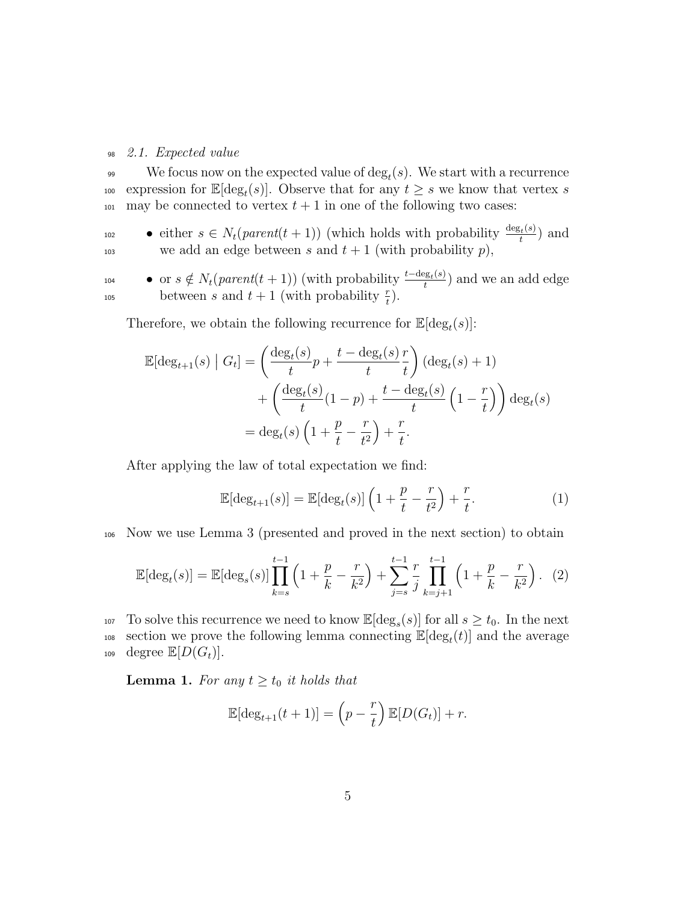#### <sup>98</sup> 2.1. Expected value

 $\mathcal{S}_{99}$  We focus now on the expected value of  $\deg_t(s)$ . We start with a recurrence <sup>100</sup> expression for  $\mathbb{E}[\deg_t(s)]$ . Observe that for any  $t \geq s$  we know that vertex s  $_{101}$  may be connected to vertex  $t + 1$  in one of the following two cases:

• either  $s \in N_t(parent(t+1))$  (which holds with probability  $\frac{\deg_t(s)}{t}$ 102 • either  $s \in N_t(parent(t+1))$  (which holds with probability  $\frac{\deg_t(s)}{t}$ ) and 103 we add an edge between s and  $t + 1$  (with probability p),

• or  $s \notin N_t(parent(t + 1))$  (with probability  $\frac{t-\deg_t(s)}{t}$ 104 • or  $s \notin N_t(parent(t+1))$  (with probability  $\frac{t-\deg_t(s)}{t}$ ) and we an add edge <sup>105</sup> between *s* and  $t + 1$  (with probability  $\frac{r}{t}$ ).

Therefore, we obtain the following recurrence for  $\mathbb{E}[\deg_t(s)]$ :

$$
\mathbb{E}[\deg_{t+1}(s) | G_t] = \left(\frac{\deg_t(s)}{t}p + \frac{t - \deg_t(s)}{t}\frac{r}{t}\right)(\deg_t(s) + 1)
$$

$$
+ \left(\frac{\deg_t(s)}{t}(1 - p) + \frac{t - \deg_t(s)}{t}\left(1 - \frac{r}{t}\right)\right)\deg_t(s)
$$

$$
= \deg_t(s)\left(1 + \frac{p}{t} - \frac{r}{t^2}\right) + \frac{r}{t}.
$$

After applying the law of total expectation we find:

$$
\mathbb{E}[\deg_{t+1}(s)] = \mathbb{E}[\deg_t(s)]\left(1 + \frac{p}{t} - \frac{r}{t^2}\right) + \frac{r}{t}.\tag{1}
$$

<sup>106</sup> Now we use Lemma 3 (presented and proved in the next section) to obtain

$$
\mathbb{E}[\deg_t(s)] = \mathbb{E}[\deg_s(s)] \prod_{k=s}^{t-1} \left(1 + \frac{p}{k} - \frac{r}{k^2}\right) + \sum_{j=s}^{t-1} \frac{r}{j} \prod_{k=j+1}^{t-1} \left(1 + \frac{p}{k} - \frac{r}{k^2}\right). \tag{2}
$$

107 To solve this recurrence we need to know  $\mathbb{E}[\deg_s(s)]$  for all  $s \ge t_0$ . In the next <sup>108</sup> section we prove the following lemma connecting  $\mathbb{E}[\deg_t(t)]$  and the average

109 degree  $\mathbb{E}[D(G_t)].$ 

**Lemma 1.** For any  $t \geq t_0$  it holds that

$$
\mathbb{E}[\deg_{t+1}(t+1)] = \left(p - \frac{r}{t}\right)\mathbb{E}[D(G_t)] + r.
$$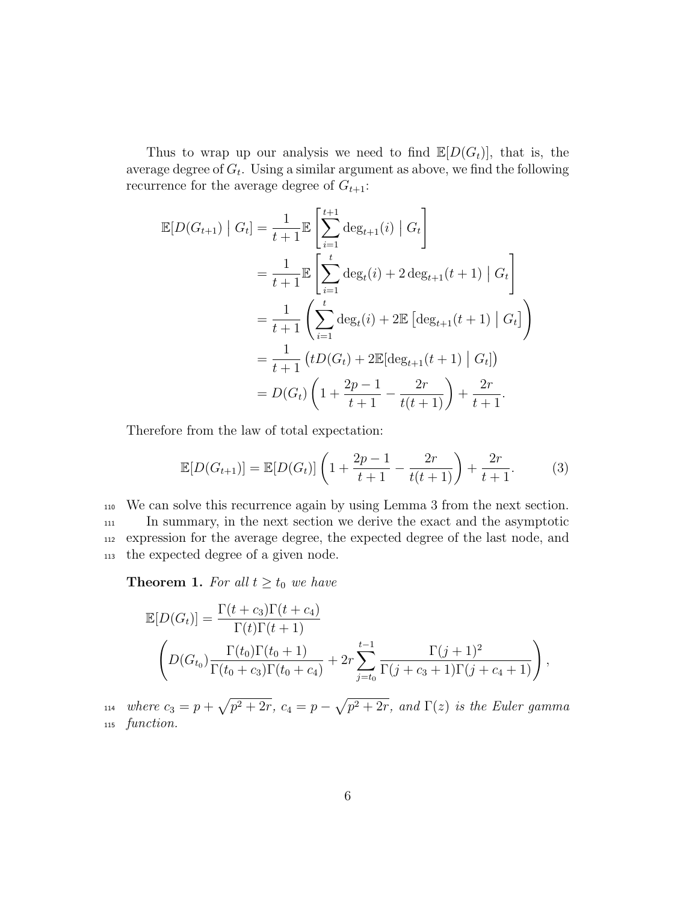Thus to wrap up our analysis we need to find  $\mathbb{E}[D(G_t)]$ , that is, the average degree of  $G_t$ . Using a similar argument as above, we find the following recurrence for the average degree of  $G_{t+1}$ :

$$
\mathbb{E}[D(G_{t+1}) | G_t] = \frac{1}{t+1} \mathbb{E}\left[\sum_{i=1}^{t+1} \deg_{t+1}(i) | G_t\right]
$$
  
= 
$$
\frac{1}{t+1} \mathbb{E}\left[\sum_{i=1}^{t} \deg_t(i) + 2 \deg_{t+1}(t+1) | G_t\right]
$$
  
= 
$$
\frac{1}{t+1} \left(\sum_{i=1}^{t} \deg_t(i) + 2 \mathbb{E}\left[\deg_{t+1}(t+1) | G_t\right]\right)
$$
  
= 
$$
\frac{1}{t+1} \left(tD(G_t) + 2 \mathbb{E}[\deg_{t+1}(t+1) | G_t]\right)
$$
  
= 
$$
D(G_t) \left(1 + \frac{2p - 1}{t+1} - \frac{2r}{t(t+1)}\right) + \frac{2r}{t+1}.
$$

Therefore from the law of total expectation:

$$
\mathbb{E}[D(G_{t+1})] = \mathbb{E}[D(G_t)] \left(1 + \frac{2p-1}{t+1} - \frac{2r}{t(t+1)}\right) + \frac{2r}{t+1}.
$$
 (3)

 We can solve this recurrence again by using Lemma 3 from the next section. In summary, in the next section we derive the exact and the asymptotic expression for the average degree, the expected degree of the last node, and the expected degree of a given node.

**Theorem 1.** For all  $t \geq t_0$  we have

$$
\mathbb{E}[D(G_t)] = \frac{\Gamma(t + c_3)\Gamma(t + c_4)}{\Gamma(t)\Gamma(t + 1)} \n\left(D(G_{t_0})\frac{\Gamma(t_0)\Gamma(t_0 + 1)}{\Gamma(t_0 + c_3)\Gamma(t_0 + c_4)} + 2r\sum_{j=t_0}^{t-1} \frac{\Gamma(j + 1)^2}{\Gamma(j + c_3 + 1)\Gamma(j + c_4 + 1)}\right),
$$

<sup>114</sup> where  $c_3 = p + \sqrt{p^2 + 2r}$ ,  $c_4 = p - \sqrt{p^2 + 2r}$ , and  $\Gamma(z)$  is the Euler gamma <sup>115</sup> function.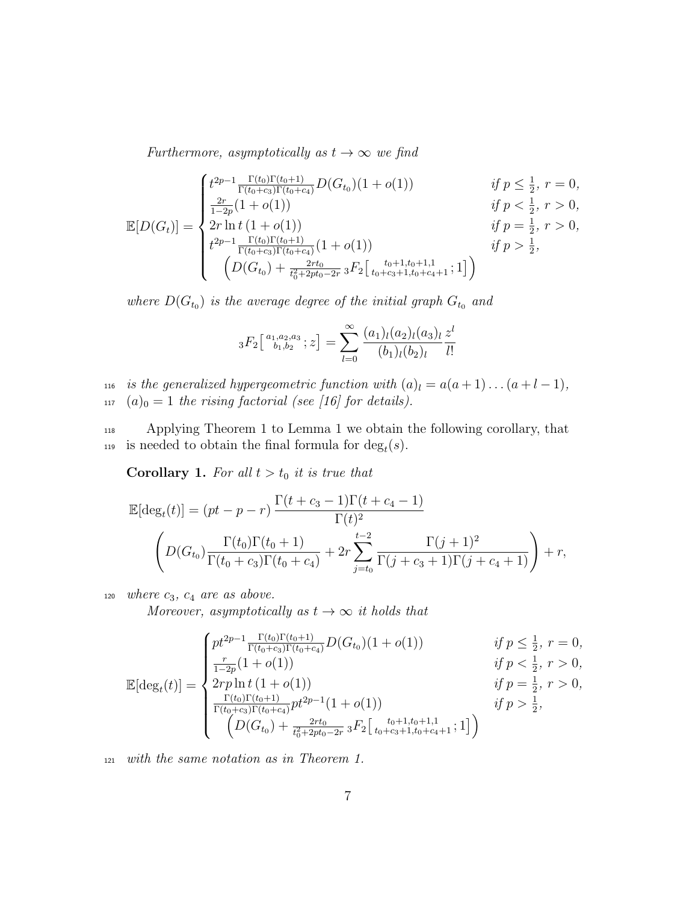Furthermore, asymptotically as  $t\to\infty$  we find

$$
\mathbb{E}[D(G_t)] = \begin{cases}\nt^{2p-1} \frac{\Gamma(t_0)\Gamma(t_0+1)}{\Gamma(t_0+c_3)\Gamma(t_0+c_4)} D(G_{t_0})(1+o(1)) & \text{if } p \leq \frac{1}{2}, r = 0, \\
\frac{2r}{1-2p}(1+o(1)) & \text{if } p < \frac{1}{2}, r > 0, \\
2r \ln t (1+o(1)) & \text{if } p = \frac{1}{2}, r > 0, \\
t^{2p-1} \frac{\Gamma(t_0)\Gamma(t_0+1)}{\Gamma(t_0+c_3)\Gamma(t_0+c_4)} (1+o(1)) & \text{if } p > \frac{1}{2}, \\
\left(D(G_{t_0}) + \frac{2rt_0}{t_0^2+2pt_0-2r} {}_3F_2\left[\begin{array}{c} t_0+1, t_0+1, 1 \\ t_0+c_3+1, t_0+c_4+1 \end{array}; 1\right]\right)\n\end{cases}
$$

where  $D(G_{t_0})$  is the average degree of the initial graph  $G_{t_0}$  and

$$
{}_3F_2\left[ \begin{array}{c} a_{1},a_{2},a_{3} \\ b_{1},b_{2} \end{array};z\right] = \sum_{l=0}^{\infty} \frac{(a_{1})_{l}(a_{2})_{l}(a_{3})_{l}}{(b_{1})_{l}(b_{2})_{l}} \frac{z^{l}}{l!}
$$

116 is the generalized hypergeometric function with  $(a)_l = a(a+1)...(a+l-1)$ , 117  $(a)_0 = 1$  the rising factorial (see [16] for details).

<sup>118</sup> Applying Theorem 1 to Lemma 1 we obtain the following corollary, that is needed to obtain the final formula for  $\deg_t(s)$ .

**Corollary 1.** For all  $t > t_0$  it is true that

$$
\mathbb{E}[\deg_t(t)] = (pt - p - r) \frac{\Gamma(t + c_3 - 1)\Gamma(t + c_4 - 1)}{\Gamma(t)^2}
$$

$$
\left(D(G_{t_0}) \frac{\Gamma(t_0)\Gamma(t_0 + 1)}{\Gamma(t_0 + c_3)\Gamma(t_0 + c_4)} + 2r \sum_{j=t_0}^{t-2} \frac{\Gamma(j+1)^2}{\Gamma(j+c_3+1)\Gamma(j+c_4+1)}\right) + r,
$$

 $120$  where  $c_3$ ,  $c_4$  are as above.

Moreover, asymptotically as  $t \to \infty$  it holds that

$$
\mathbb{E}[\deg_t(t)] = \begin{cases} pt^{2p-1} \frac{\Gamma(t_0)\Gamma(t_0+1)}{\Gamma(t_0+c_3)\Gamma(t_0+c_4)} D(G_{t_0})(1+o(1)) & \text{if } p \leq \frac{1}{2}, r = 0, \\ \frac{r}{1-2p}(1+o(1)) & \text{if } p < \frac{1}{2}, r > 0, \\ 2rp \ln t (1+o(1)) & \text{if } p = \frac{1}{2}, r > 0, \\ \frac{\Gamma(t_0)\Gamma(t_0+1)}{\Gamma(t_0+c_3)\Gamma(t_0+c_4)} pt^{2p-1}(1+o(1)) & \text{if } p > \frac{1}{2}, \\ \left(D(G_{t_0}) + \frac{2rt_0}{t_0+2pt_0-2r} {}_3F_2\left[\begin{array}{c} t_0+1,t_0+1,1\\ t_0+c_3+1,t_0+c_4+1 \end{array}; 1\right]\right) \end{cases}
$$

<sup>121</sup> with the same notation as in Theorem 1.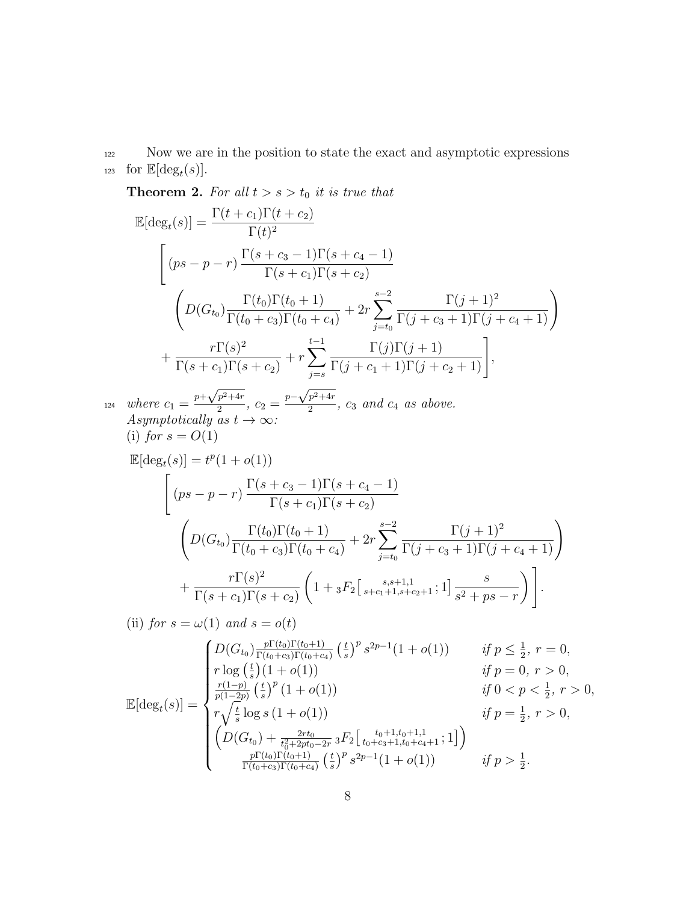<sup>122</sup> Now we are in the position to state the exact and asymptotic expressions 123 for  $\mathbb{E}[\deg_t(s)]$ .

**Theorem 2.** For all  $t > s > t_0$  it is true that

$$
\mathbb{E}[\deg_t(s)] = \frac{\Gamma(t + c_1)\Gamma(t + c_2)}{\Gamma(t)^2}
$$
\n
$$
\begin{aligned}\n\left[ (ps - p - r) \frac{\Gamma(s + c_3 - 1)\Gamma(s + c_4 - 1)}{\Gamma(s + c_1)\Gamma(s + c_2)} \right. \\
\left. \left( D(G_{t_0}) \frac{\Gamma(t_0)\Gamma(t_0 + 1)}{\Gamma(t_0 + c_3)\Gamma(t_0 + c_4)} + 2r \sum_{j=t_0}^{s-2} \frac{\Gamma(j + 1)^2}{\Gamma(j + c_3 + 1)\Gamma(j + c_4 + 1)} \right) \right. \\
&\left. + \frac{r\Gamma(s)^2}{\Gamma(s + c_1)\Gamma(s + c_2)} + r \sum_{j=s}^{t-1} \frac{\Gamma(j)\Gamma(j + 1)}{\Gamma(j + c_1 + 1)\Gamma(j + c_2 + 1)} \right],\n\end{aligned}
$$

where  $c_1 = \frac{p + \sqrt{p^2 + 4r}}{2}$  $\sqrt{\frac{p^2+4r}{2}}$ ,  $c_2 = \frac{p-\sqrt{p^2+4r}}{2}$  $v_1 = \frac{p + \sqrt{p^2 + 4r}}{2}, c_2 = \frac{p - \sqrt{p^2 + 4r}}{2}, c_3$  and  $c_4$  as above. Asymptotically as  $t \to \infty$ : (i) for  $s = O(1)$ 

$$
\mathbb{E}[\deg_t(s)] = t^p (1 + o(1))
$$
\n
$$
\begin{bmatrix}\n(ps - p - r) \frac{\Gamma(s + c_3 - 1)\Gamma(s + c_4 - 1)}{\Gamma(s + c_1)\Gamma(s + c_2)} \\
\left(D(G_{t_0}) \frac{\Gamma(t_0)\Gamma(t_0 + 1)}{\Gamma(t_0 + c_3)\Gamma(t_0 + c_4)} + 2r \sum_{j=t_0}^{s-2} \frac{\Gamma(j+1)^2}{\Gamma(j + c_3 + 1)\Gamma(j + c_4 + 1)}\right) \\
+ \frac{r\Gamma(s)^2}{\Gamma(s + c_1)\Gamma(s + c_2)} \left(1 + {}_3F_2\left[s + c_1 + 1, s + c_2 + 1; 1\right] \frac{s}{s^2 + ps - r}\right)\n\end{bmatrix}.
$$
\n
$$
(ii) for s \to (1) and s \to (4)
$$

(ii) for 
$$
s = \omega(1)
$$
 and  $s = o(t)$   
\n
$$
\mathbb{E}[\deg_t(s)] = \begin{cases}\nD(G_{t_0}) \frac{p\Gamma(t_0)\Gamma(t_0+1)}{\Gamma(t_0+c_3)\Gamma(t_0+c_4)} \left(\frac{t}{s}\right)^p s^{2p-1}(1+o(1)) & \text{if } p \leq \frac{1}{2}, r = 0, \\
r \log \left(\frac{t}{s}\right)(1+o(1)) & \text{if } p = 0, r > 0, \\
\frac{r(1-p)}{p(1-2p)} \left(\frac{t}{s}\right)^p (1+o(1)) & \text{if } 0 < p < \frac{1}{2}, r > 0, \\
r \sqrt{\frac{t}{s}} \log s (1+o(1)) & \text{if } p = \frac{1}{2}, r > 0, \\
\left(D(G_{t_0}) + \frac{2rt_0}{t_0^2+2pt_0-2r} {}_3F_2\left[\frac{t_0+1,t_0+1,1}{t_0+c_3+1,t_0+c_4+1};1\right]\right) \\
\frac{p\Gamma(t_0)\Gamma(t_0+1)}{\Gamma(t_0+c_3)\Gamma(t_0+c_4)} \left(\frac{t}{s}\right)^p s^{2p-1}(1+o(1)) & \text{if } p > \frac{1}{2}.\n\end{cases}
$$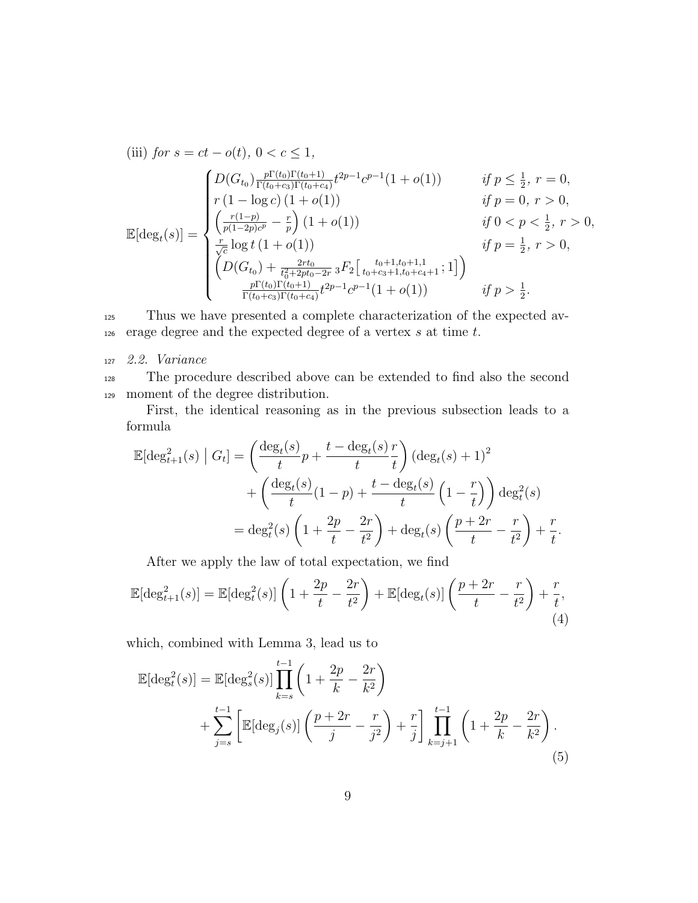(iii) for 
$$
s = ct - o(t)
$$
,  $0 < c \le 1$ ,  
\n
$$
\mathbb{E}[G(s)] = \begin{cases}\nD(G_{t_0}) \frac{p\Gamma(t_0)\Gamma(t_0+1)}{\Gamma(t_0+c_3)\Gamma(t_0+c_4)} t^{2p-1} c^{p-1} (1+o(1)) & \text{if } p \le \frac{1}{2}, r = 0, \\
r (1 - \log c) (1 + o(1)) & \text{if } p = 0, r > 0, \\
\left(\frac{r(1-p)}{p(1-2p)c^p} - \frac{r}{p}\right) (1+o(1)) & \text{if } 0 < p < \frac{1}{2}, r > 0, \\
\frac{r}{\sqrt{c}} \log t (1+o(1)) & \text{if } p = \frac{1}{2}, r > 0, \\
\left(D(G_{t_0}) + \frac{2rt_0}{t_0^2+2pt_0-2r} {}_3F_2\left[\begin{array}{c} t_0+1,t_0+1,1\\ t_0+c_3+1,t_0+c_4+1 \end{array}; 1\right]\right) \\
\frac{p\Gamma(t_0)\Gamma(t_0+1)}{\Gamma(t_0+c_3)\Gamma(t_0+c_4)} t^{2p-1} c^{p-1} (1+o(1)) & \text{if } p > \frac{1}{2}.\n\end{cases}
$$

<sup>125</sup> Thus we have presented a complete characterization of the expected av- $126$  erage degree and the expected degree of a vertex s at time t.

<sup>127</sup> 2.2. Variance

<sup>128</sup> The procedure described above can be extended to find also the second <sup>129</sup> moment of the degree distribution.

First, the identical reasoning as in the previous subsection leads to a formula

$$
\mathbb{E}[\deg_{t+1}^2(s) | G_t] = \left(\frac{\deg_t(s)}{t}p + \frac{t - \deg_t(s)}{t}\frac{r}{t}\right) (\deg_t(s) + 1)^2
$$

$$
+ \left(\frac{\deg_t(s)}{t}(1 - p) + \frac{t - \deg_t(s)}{t}\left(1 - \frac{r}{t}\right)\right) \deg_t^2(s)
$$

$$
= \deg_t^2(s) \left(1 + \frac{2p}{t} - \frac{2r}{t^2}\right) + \deg_t(s) \left(\frac{p + 2r}{t} - \frac{r}{t^2}\right) + \frac{r}{t}.
$$

After we apply the law of total expectation, we find

$$
\mathbb{E}[\deg_{t+1}^2(s)] = \mathbb{E}[\deg_t^2(s)] \left(1 + \frac{2p}{t} - \frac{2r}{t^2}\right) + \mathbb{E}[\deg_t(s)] \left(\frac{p+2r}{t} - \frac{r}{t^2}\right) + \frac{r}{t},\tag{4}
$$

which, combined with Lemma 3, lead us to

$$
\mathbb{E}[\deg_t^2(s)] = \mathbb{E}[\deg_s^2(s)] \prod_{k=s}^{t-1} \left( 1 + \frac{2p}{k} - \frac{2r}{k^2} \right) \n+ \sum_{j=s}^{t-1} \left[ \mathbb{E}[\deg_j(s)] \left( \frac{p+2r}{j} - \frac{r}{j^2} \right) + \frac{r}{j} \right] \prod_{k=j+1}^{t-1} \left( 1 + \frac{2p}{k} - \frac{2r}{k^2} \right).
$$
\n(5)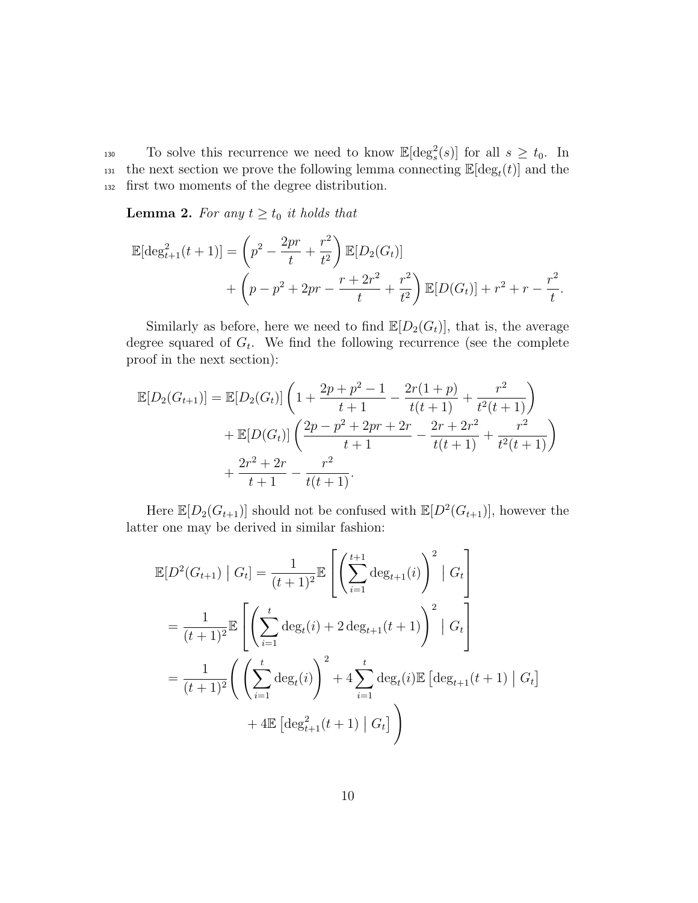130 To solve this recurrence we need to know  $\mathbb{E}[\deg_s^2(s)]$  for all  $s \geq t_0$ . In the next section we prove the following lemma connecting  $\mathbb{E}[\deg_t(t)]$  and the <sup>132</sup> first two moments of the degree distribution.

**Lemma 2.** For any  $t \geq t_0$  it holds that

$$
\mathbb{E}[\deg_{t+1}^{2}(t+1)] = \left(p^{2} - \frac{2pr}{t} + \frac{r^{2}}{t^{2}}\right) \mathbb{E}[D_{2}(G_{t})] + \left(p - p^{2} + 2pr - \frac{r + 2r^{2}}{t} + \frac{r^{2}}{t^{2}}\right) \mathbb{E}[D(G_{t})] + r^{2} + r - \frac{r^{2}}{t}.
$$

Similarly as before, here we need to find  $\mathbb{E}[D_2(G_t)]$ , that is, the average degree squared of  $G_t$ . We find the following recurrence (see the complete proof in the next section):

$$
\mathbb{E}[D_2(G_{t+1})] = \mathbb{E}[D_2(G_t)] \left( 1 + \frac{2p + p^2 - 1}{t+1} - \frac{2r(1+p)}{t(t+1)} + \frac{r^2}{t^2(t+1)} \right) + \mathbb{E}[D(G_t)] \left( \frac{2p - p^2 + 2pr + 2r}{t+1} - \frac{2r + 2r^2}{t(t+1)} + \frac{r^2}{t^2(t+1)} \right) + \frac{2r^2 + 2r}{t+1} - \frac{r^2}{t(t+1)}.
$$

Here  $\mathbb{E}[D_2(G_{t+1})]$  should not be confused with  $\mathbb{E}[D^2(G_{t+1})]$ , however the latter one may be derived in similar fashion:

$$
\mathbb{E}[D^{2}(G_{t+1}) | G_{t}] = \frac{1}{(t+1)^{2}} \mathbb{E}\left[\left(\sum_{i=1}^{t+1} \deg_{t+1}(i)\right)^{2} | G_{t}\right]
$$

$$
= \frac{1}{(t+1)^{2}} \mathbb{E}\left[\left(\sum_{i=1}^{t} \deg_{t}(i) + 2 \deg_{t+1}(t+1)\right)^{2} | G_{t}\right]
$$

$$
= \frac{1}{(t+1)^{2}} \left(\left(\sum_{i=1}^{t} \deg_{t}(i)\right)^{2} + 4 \sum_{i=1}^{t} \deg_{t}(i) \mathbb{E}\left[\deg_{t+1}(t+1) | G_{t}\right] + 4 \mathbb{E}\left[\deg_{t+1}^{2}(t+1) | G_{t}\right]\right)
$$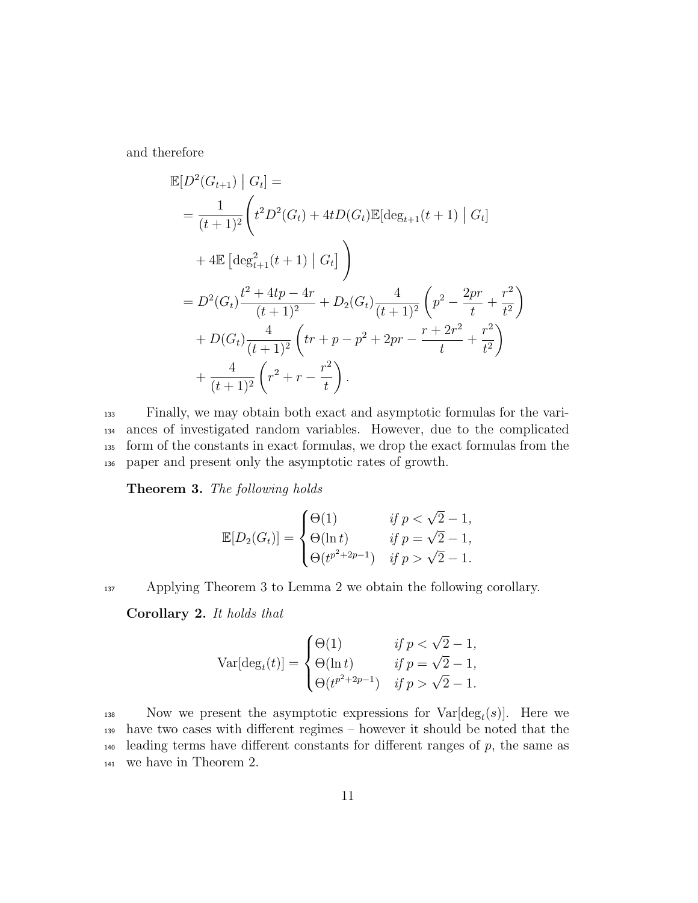and therefore

$$
\mathbb{E}[D^2(G_{t+1}) | G_t] =
$$
\n
$$
= \frac{1}{(t+1)^2} \left( t^2 D^2(G_t) + 4t D(G_t) \mathbb{E}[\deg_{t+1}(t+1) | G_t] \right)
$$
\n
$$
+ 4\mathbb{E} \left[ \deg_{t+1}^2(t+1) | G_t \right]
$$
\n
$$
= D^2(G_t) \frac{t^2 + 4tp - 4r}{(t+1)^2} + D_2(G_t) \frac{4}{(t+1)^2} \left( p^2 - \frac{2pr}{t} + \frac{r^2}{t^2} \right)
$$
\n
$$
+ D(G_t) \frac{4}{(t+1)^2} \left( tr + p - p^2 + 2pr - \frac{r + 2r^2}{t} + \frac{r^2}{t^2} \right)
$$
\n
$$
+ \frac{4}{(t+1)^2} \left( r^2 + r - \frac{r^2}{t} \right).
$$

 Finally, we may obtain both exact and asymptotic formulas for the vari- ances of investigated random variables. However, due to the complicated form of the constants in exact formulas, we drop the exact formulas from the paper and present only the asymptotic rates of growth.

Theorem 3. The following holds

$$
\mathbb{E}[D_2(G_t)] = \begin{cases} \Theta(1) & \text{if } p < \sqrt{2} - 1, \\ \Theta(\ln t) & \text{if } p = \sqrt{2} - 1, \\ \Theta(t^{p^2 + 2p - 1}) & \text{if } p > \sqrt{2} - 1. \end{cases}
$$

137 Applying Theorem 3 to Lemma 2 we obtain the following corollary.

Corollary 2. It holds that

$$
\text{Var}[\deg_t(t)] = \begin{cases} \Theta(1) & \text{if } p < \sqrt{2} - 1, \\ \Theta(\ln t) & \text{if } p = \sqrt{2} - 1, \\ \Theta(t^{p^2 + 2p - 1}) & \text{if } p > \sqrt{2} - 1. \end{cases}
$$

138 Now we present the asymptotic expressions for  $Var[deg_t(s)]$ . Here we <sup>139</sup> have two cases with different regimes – however it should be noted that the  $_{140}$  leading terms have different constants for different ranges of  $p$ , the same as <sup>141</sup> we have in Theorem 2.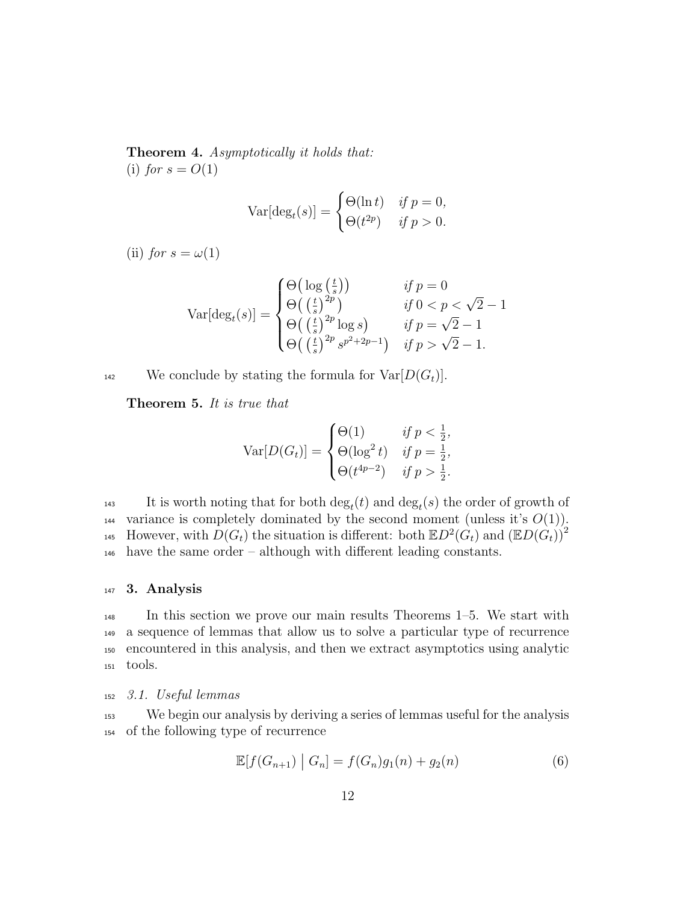Theorem 4. Asymptotically it holds that: (i) for  $s = O(1)$ 

$$
\text{Var}[\deg_t(s)] = \begin{cases} \Theta(\ln t) & \text{if } p = 0, \\ \Theta(t^{2p}) & \text{if } p > 0. \end{cases}
$$

(ii) for  $s = \omega(1)$ 

$$
\text{Var}[\deg_t(s)] = \begin{cases} \Theta\big(\log\left(\frac{t}{s}\right)\big) & \text{if } p = 0\\ \Theta\big(\left(\frac{t}{s}\right)^{2p}) & \text{if } 0 < p < \sqrt{2} - 1\\ \Theta\big(\left(\frac{t}{s}\right)^{2p}\log s\big) & \text{if } p = \sqrt{2} - 1\\ \Theta\big(\left(\frac{t}{s}\right)^{2p} s^{p^2 + 2p - 1}\big) & \text{if } p > \sqrt{2} - 1. \end{cases}
$$

<sup>142</sup> We conclude by stating the formula for  $Var[D(G_t)].$ 

Theorem 5. It is true that

$$
\text{Var}[D(G_t)] = \begin{cases} \Theta(1) & \text{if } p < \frac{1}{2}, \\ \Theta(\log^2 t) & \text{if } p = \frac{1}{2}, \\ \Theta(t^{4p-2}) & \text{if } p > \frac{1}{2}. \end{cases}
$$

143 It is worth noting that for both  $\deg_t(t)$  and  $\deg_t(s)$  the order of growth of 144 variance is completely dominated by the second moment (unless it's  $O(1)$ ). However, with  $D(G_t)$  the situation is different: both  $\mathbb{E}D^2(G_t)$  and  $(\mathbb{E}D(G_t))^2$ 145 <sup>146</sup> have the same order – although with different leading constants.

#### <sup>147</sup> 3. Analysis

 In this section we prove our main results Theorems 1–5. We start with a sequence of lemmas that allow us to solve a particular type of recurrence encountered in this analysis, and then we extract asymptotics using analytic <sup>151</sup> tools.

## <sup>152</sup> 3.1. Useful lemmas

<sup>153</sup> We begin our analysis by deriving a series of lemmas useful for the analysis <sup>154</sup> of the following type of recurrence

$$
\mathbb{E}[f(G_{n+1}) | G_n] = f(G_n)g_1(n) + g_2(n)
$$
\n(6)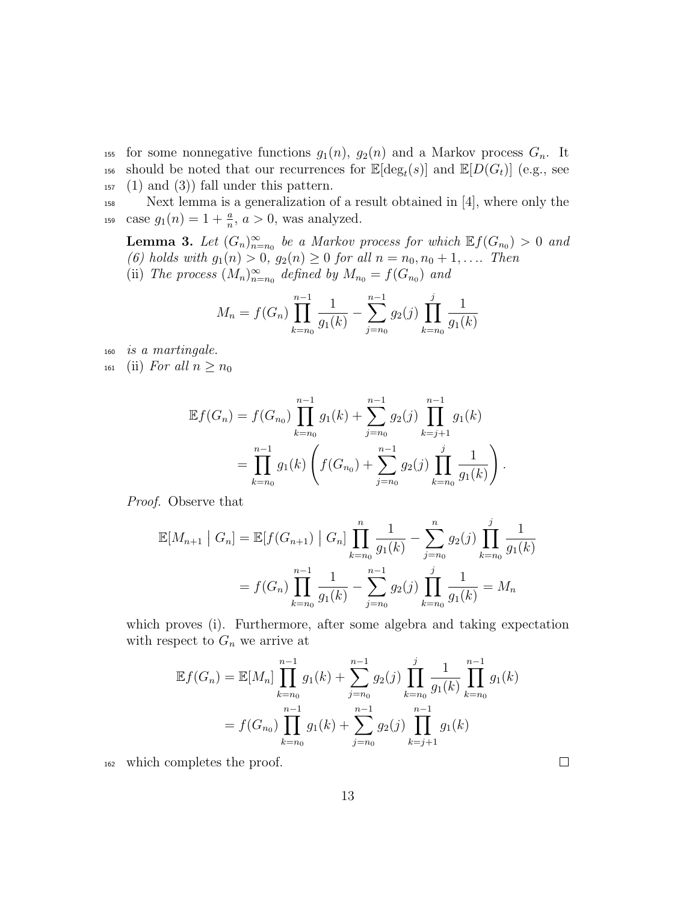155 for some nonnegative functions  $g_1(n)$ ,  $g_2(n)$  and a Markov process  $G_n$ . It <sup>156</sup> should be noted that our recurrences for  $\mathbb{E}[\deg_t(s)]$  and  $\mathbb{E}[D(G_t)]$  (e.g., see  $_{157}$  (1) and (3)) fall under this pattern.

<sup>158</sup> Next lemma is a generalization of a result obtained in [4], where only the 159 case  $g_1(n) = 1 + \frac{a}{n}, a > 0$ , was analyzed.

**Lemma 3.** Let  $(G_n)_{n=n_0}^{\infty}$  be a Markov process for which  $\mathbb{E}f(G_{n_0}) > 0$  and (6) holds with  $g_1(n) > 0$ ,  $g_2(n) \ge 0$  for all  $n = n_0, n_0 + 1, \ldots$  Then (ii) The process  $(M_n)_{n=n_0}^{\infty}$  defined by  $M_{n_0} = f(G_{n_0})$  and

$$
M_n = f(G_n) \prod_{k=n_0}^{n-1} \frac{1}{g_1(k)} - \sum_{j=n_0}^{n-1} g_2(j) \prod_{k=n_0}^{j} \frac{1}{g_1(k)}
$$

<sup>160</sup> is a martingale.

161 (ii) For all  $n \geq n_0$ 

$$
\mathbb{E}f(G_n) = f(G_{n_0}) \prod_{k=n_0}^{n-1} g_1(k) + \sum_{j=n_0}^{n-1} g_2(j) \prod_{k=j+1}^{n-1} g_1(k)
$$
  
= 
$$
\prod_{k=n_0}^{n-1} g_1(k) \left( f(G_{n_0}) + \sum_{j=n_0}^{n-1} g_2(j) \prod_{k=n_0}^{j} \frac{1}{g_1(k)} \right).
$$

Proof. Observe that

$$
\mathbb{E}[M_{n+1} | G_n] = \mathbb{E}[f(G_{n+1}) | G_n] \prod_{k=n_0}^{n} \frac{1}{g_1(k)} - \sum_{j=n_0}^{n} g_2(j) \prod_{k=n_0}^{j} \frac{1}{g_1(k)}
$$
  
=  $f(G_n) \prod_{k=n_0}^{n-1} \frac{1}{g_1(k)} - \sum_{j=n_0}^{n-1} g_2(j) \prod_{k=n_0}^{j} \frac{1}{g_1(k)} = M_n$ 

which proves (i). Furthermore, after some algebra and taking expectation with respect to  $G_n$  we arrive at

$$
\mathbb{E}f(G_n) = \mathbb{E}[M_n] \prod_{k=n_0}^{n-1} g_1(k) + \sum_{j=n_0}^{n-1} g_2(j) \prod_{k=n_0}^j \frac{1}{g_1(k)} \prod_{k=n_0}^{n-1} g_1(k)
$$
  
=  $f(G_{n_0}) \prod_{k=n_0}^{n-1} g_1(k) + \sum_{j=n_0}^{n-1} g_2(j) \prod_{k=j+1}^{n-1} g_1(k)$ 

<sup>162</sup> which completes the proof.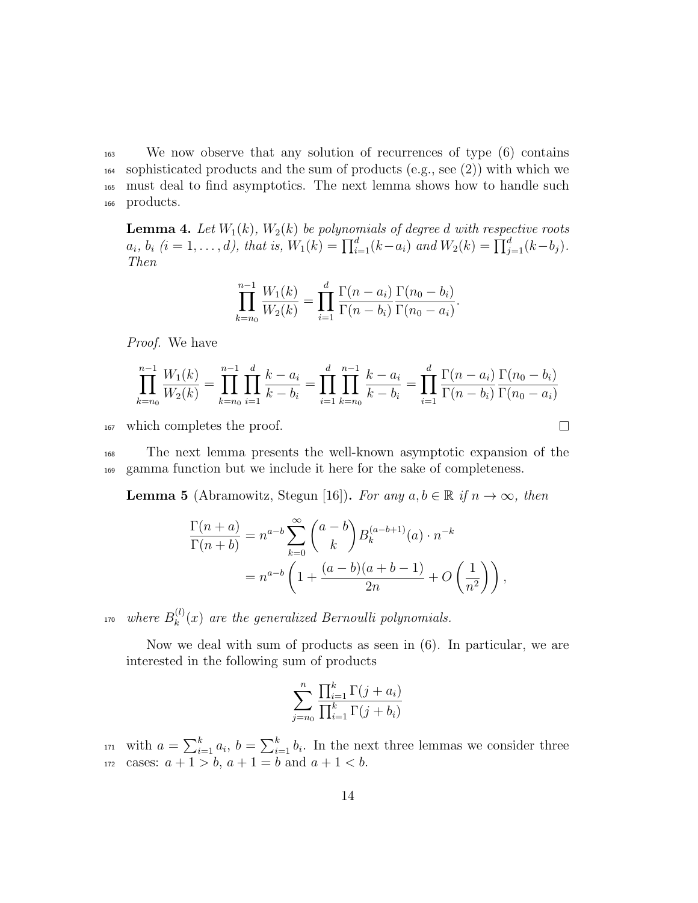We now observe that any solution of recurrences of type (6) contains  $_{164}$  sophisticated products and the sum of products (e.g., see (2)) with which we must deal to find asymptotics. The next lemma shows how to handle such products.

**Lemma 4.** Let  $W_1(k)$ ,  $W_2(k)$  be polynomials of degree d with respective roots  $a_i, b_i$   $(i = 1, ..., d)$ , that is,  $W_1(k) = \prod_{i=1}^d (k - a_i)$  and  $W_2(k) = \prod_{j=1}^d (k - b_j)$ . Then

$$
\prod_{k=n_0}^{n-1} \frac{W_1(k)}{W_2(k)} = \prod_{i=1}^d \frac{\Gamma(n-a_i)}{\Gamma(n-b_i)} \frac{\Gamma(n_0-b_i)}{\Gamma(n_0-a_i)}.
$$

Proof. We have

$$
\prod_{k=n_0}^{n-1} \frac{W_1(k)}{W_2(k)} = \prod_{k=n_0}^{n-1} \prod_{i=1}^d \frac{k-a_i}{k-b_i} = \prod_{i=1}^d \prod_{k=n_0}^{n-1} \frac{k-a_i}{k-b_i} = \prod_{i=1}^d \frac{\Gamma(n-a_i)}{\Gamma(n-b_i)} \frac{\Gamma(n_0-b_i)}{\Gamma(n_0-a_i)}
$$

 $\Box$ 

<sup>167</sup> which completes the proof.

<sup>168</sup> The next lemma presents the well-known asymptotic expansion of the <sup>169</sup> gamma function but we include it here for the sake of completeness.

**Lemma 5** (Abramowitz, Stegun [16]). For any  $a, b \in \mathbb{R}$  if  $n \to \infty$ , then

$$
\frac{\Gamma(n+a)}{\Gamma(n+b)} = n^{a-b} \sum_{k=0}^{\infty} {a-b \choose k} B_k^{(a-b+1)}(a) \cdot n^{-k}
$$
  
=  $n^{a-b} \left( 1 + \frac{(a-b)(a+b-1)}{2n} + O\left(\frac{1}{n^2}\right) \right),$ 

where  $B_k^{(l)}$ <sup>170</sup> where  $B_k^{(l)}(x)$  are the generalized Bernoulli polynomials.

Now we deal with sum of products as seen in (6). In particular, we are interested in the following sum of products

$$
\sum_{j=n_0}^n \frac{\prod_{i=1}^k \Gamma(j+a_i)}{\prod_{i=1}^k \Gamma(j+b_i)}
$$

<sup>171</sup> with  $a = \sum_{i=1}^{k} a_i$ ,  $b = \sum_{i=1}^{k} b_i$ . In the next three lemmas we consider three 172 cases:  $a + 1 > b$ ,  $a + 1 = b$  and  $a + 1 < b$ .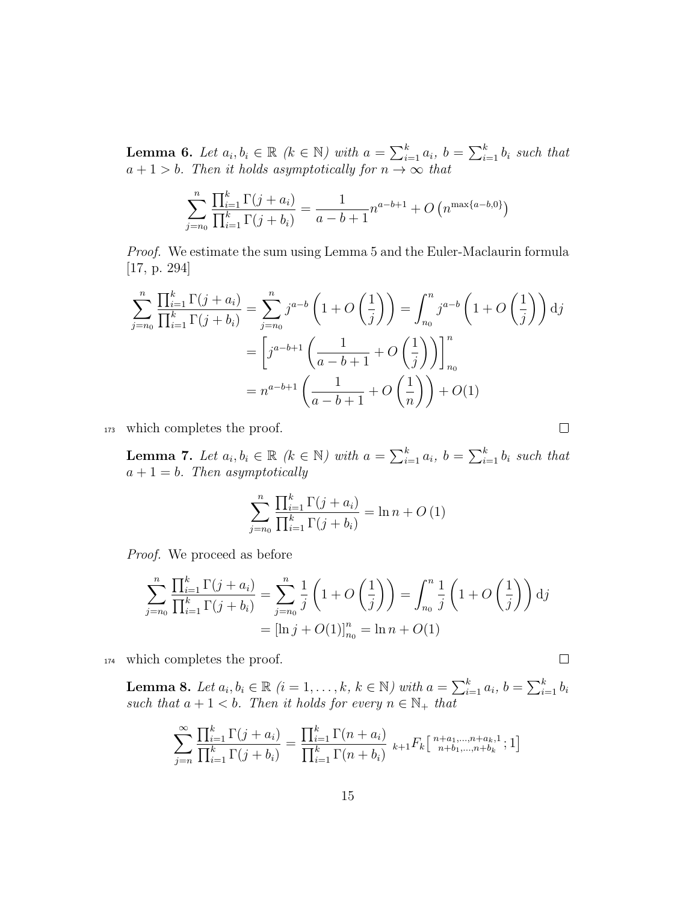**Lemma 6.** Let  $a_i, b_i \in \mathbb{R}$  ( $k \in \mathbb{N}$ ) with  $a = \sum_{i=1}^{k} a_i$ ,  $b = \sum_{i=1}^{k} b_i$  such that  $a + 1 > b$ . Then it holds asymptotically for  $n \to \infty$  that

$$
\sum_{j=n_0}^{n} \frac{\prod_{i=1}^{k} \Gamma(j+a_i)}{\prod_{i=1}^{k} \Gamma(j+b_i)} = \frac{1}{a-b+1} n^{a-b+1} + O\left(n^{\max\{a-b,0\}}\right)
$$

Proof. We estimate the sum using Lemma 5 and the Euler-Maclaurin formula [17, p. 294]

$$
\sum_{j=n_0}^{n} \frac{\prod_{i=1}^{k} \Gamma(j+a_i)}{\prod_{i=1}^{k} \Gamma(j+b_i)} = \sum_{j=n_0}^{n} j^{a-b} \left(1+O\left(\frac{1}{j}\right)\right) = \int_{n_0}^{n} j^{a-b} \left(1+O\left(\frac{1}{j}\right)\right) dj
$$

$$
= \left[j^{a-b+1} \left(\frac{1}{a-b+1} + O\left(\frac{1}{j}\right)\right)\right]_{n_0}^{n}
$$

$$
= n^{a-b+1} \left(\frac{1}{a-b+1} + O\left(\frac{1}{n}\right)\right) + O(1)
$$

<sup>173</sup> which completes the proof.

**Lemma 7.** Let  $a_i, b_i \in \mathbb{R}$  ( $k \in \mathbb{N}$ ) with  $a = \sum_{i=1}^{k} a_i$ ,  $b = \sum_{i=1}^{k} b_i$  such that  $a + 1 = b$ . Then asymptotically

 $\Box$ 

 $\Box$ 

$$
\sum_{j=n_0}^{n} \frac{\prod_{i=1}^{k} \Gamma(j + a_i)}{\prod_{i=1}^{k} \Gamma(j + b_i)} = \ln n + O(1)
$$

Proof. We proceed as before

$$
\sum_{j=n_0}^{n} \frac{\prod_{i=1}^{k} \Gamma(j + a_i)}{\prod_{i=1}^{k} \Gamma(j + b_i)} = \sum_{j=n_0}^{n} \frac{1}{j} \left( 1 + O\left(\frac{1}{j}\right) \right) = \int_{n_0}^{n} \frac{1}{j} \left( 1 + O\left(\frac{1}{j}\right) \right) dj
$$

$$
= \left[ \ln j + O(1) \right]_{n_0}^{n} = \ln n + O(1)
$$

<sup>174</sup> which completes the proof.

**Lemma 8.** Let  $a_i, b_i \in \mathbb{R}$   $(i = 1, \ldots, k, k \in \mathbb{N})$  with  $a = \sum_{i=1}^{k} a_i$ ,  $b = \sum_{i=1}^{k} b_i$ such that  $a + 1 < b$ . Then it holds for every  $n \in \mathbb{N}_+$  that

$$
\sum_{j=n}^{\infty} \frac{\prod_{i=1}^{k} \Gamma(j+a_i)}{\prod_{i=1}^{k} \Gamma(j+b_i)} = \frac{\prod_{i=1}^{k} \Gamma(n+a_i)}{\prod_{i=1}^{k} \Gamma(n+b_i)} k_{+1} F_k \left[ \begin{array}{c} n+a_1, \dots, n+a_k, 1 \\ n+b_1, \dots, n+b_k \end{array}; 1 \right]
$$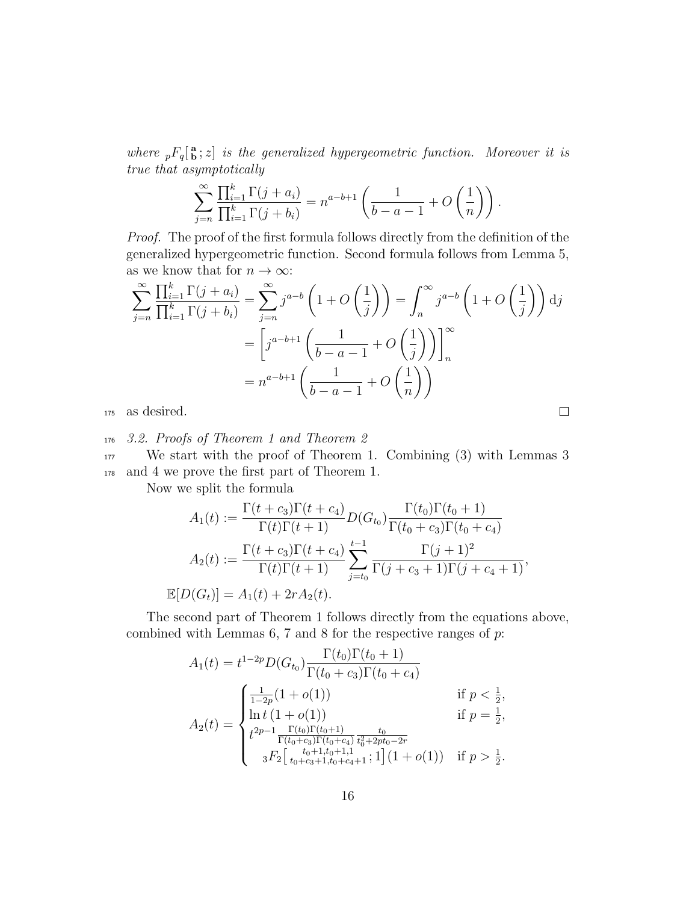where  ${}_{p}F_{q}$ [ ${}_{p}^{a}$ ; z] is the generalized hypergeometric function. Moreover it is true that asymptotically

$$
\sum_{j=n}^{\infty} \frac{\prod_{i=1}^{k} \Gamma(j+a_i)}{\prod_{i=1}^{k} \Gamma(j+b_i)} = n^{a-b+1} \left( \frac{1}{b-a-1} + O\left(\frac{1}{n}\right) \right).
$$

Proof. The proof of the first formula follows directly from the definition of the generalized hypergeometric function. Second formula follows from Lemma 5, as we know that for  $n \to \infty$ :

$$
\sum_{j=n}^{\infty} \frac{\prod_{i=1}^{k} \Gamma(j+a_i)}{\prod_{i=1}^{k} \Gamma(j+b_i)} = \sum_{j=n}^{\infty} j^{a-b} \left(1+O\left(\frac{1}{j}\right)\right) = \int_{n}^{\infty} j^{a-b} \left(1+O\left(\frac{1}{j}\right)\right) dj
$$

$$
= \left[j^{a-b+1}\left(\frac{1}{b-a-1}+O\left(\frac{1}{j}\right)\right)\right]_{n}^{\infty}
$$

$$
= n^{a-b+1}\left(\frac{1}{b-a-1}+O\left(\frac{1}{n}\right)\right)
$$
as desired.

<sup>175</sup> as desired.

<sup>176</sup> 3.2. Proofs of Theorem 1 and Theorem 2

<sup>177</sup> We start with the proof of Theorem 1. Combining (3) with Lemmas 3 <sup>178</sup> and 4 we prove the first part of Theorem 1.

Now we split the formula

$$
A_1(t) := \frac{\Gamma(t + c_3)\Gamma(t + c_4)}{\Gamma(t)\Gamma(t + 1)} D(G_{t_0}) \frac{\Gamma(t_0)\Gamma(t_0 + 1)}{\Gamma(t_0 + c_3)\Gamma(t_0 + c_4)}
$$
  
\n
$$
A_2(t) := \frac{\Gamma(t + c_3)\Gamma(t + c_4)}{\Gamma(t)\Gamma(t + 1)} \sum_{j=t_0}^{t-1} \frac{\Gamma(j + 1)^2}{\Gamma(j + c_3 + 1)\Gamma(j + c_4 + 1)},
$$
  
\n
$$
\mathbb{E}[D(G_t)] = A_1(t) + 2r A_2(t).
$$

The second part of Theorem 1 follows directly from the equations above, combined with Lemmas  $6, 7$  and  $8$  for the respective ranges of  $p$ :

$$
A_1(t) = t^{1-2p} D(G_{t_0}) \frac{\Gamma(t_0)\Gamma(t_0+1)}{\Gamma(t_0+c_3)\Gamma(t_0+c_4)}
$$
  
\n
$$
A_2(t) = \begin{cases} \frac{1}{1-2p}(1+o(1)) & \text{if } p < \frac{1}{2}, \\ \ln t (1+o(1)) & \text{if } p = \frac{1}{2}, \\ t^{2p-1} \frac{\Gamma(t_0)\Gamma(t_0+1)}{\Gamma(t_0+c_3)\Gamma(t_0+c_4)} \frac{t_0}{t_0^2+2pt_0-2r} \\ 3F_2 \left[ \frac{t_0+1,t_0+1,1}{t_0+c_3+1,t_0+c_4+1}; 1 \right] (1+o(1)) & \text{if } p > \frac{1}{2}. \end{cases}
$$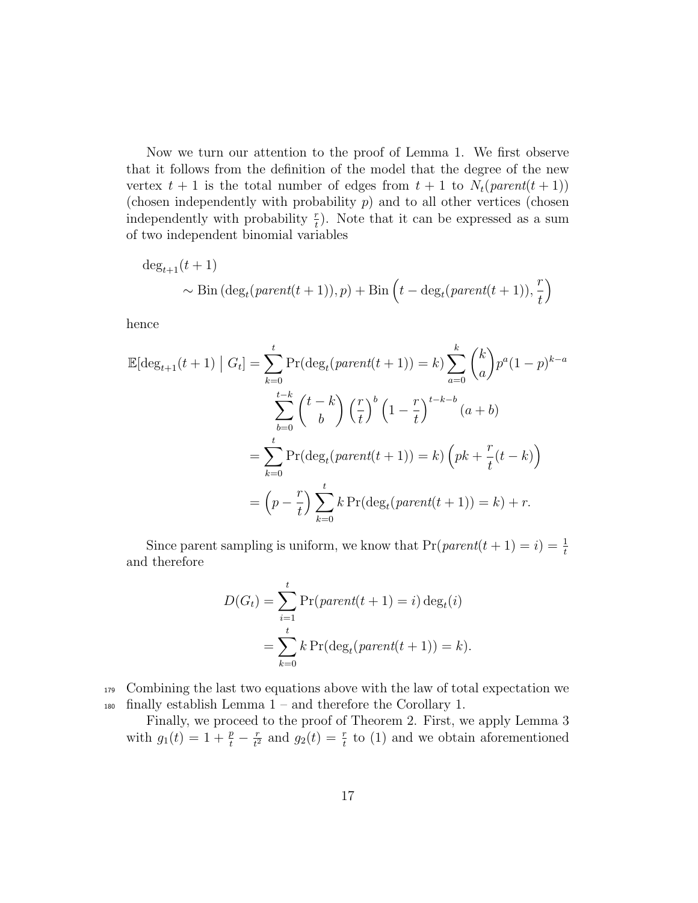Now we turn our attention to the proof of Lemma 1. We first observe that it follows from the definition of the model that the degree of the new vertex  $t + 1$  is the total number of edges from  $t + 1$  to  $N_t(parent(t + 1))$ (chosen independently with probability  $p$ ) and to all other vertices (chosen independently with probability  $\frac{r}{t}$ ). Note that it can be expressed as a sum of two independent binomial variables

$$
\deg_{t+1}(t+1)
$$
  
 
$$
\sim \text{Bin}(\deg_t(\text{parent}(t+1)), p) + \text{Bin}\left(t - \deg_t(\text{parent}(t+1)), \frac{r}{t}\right)
$$

hence

$$
\mathbb{E}[\deg_{t+1}(t+1) | G_t] = \sum_{k=0}^t \Pr(\deg_t(parent(t+1)) = k) \sum_{a=0}^k {k \choose a} p^a (1-p)^{k-a}
$$

$$
\sum_{b=0}^{t-k} {t-k \choose b} \left(\frac{r}{t}\right)^b \left(1 - \frac{r}{t}\right)^{t-k-b} (a+b)
$$

$$
= \sum_{k=0}^t \Pr(\deg_t(parent(t+1)) = k) \left(pk + \frac{r}{t}(t-k)\right)
$$

$$
= \left(p - \frac{r}{t}\right) \sum_{k=0}^t k \Pr(\deg_t(parent(t+1)) = k) + r.
$$

Since parent sampling is uniform, we know that  $Pr(parent(t + 1) = i) = \frac{1}{t}$ and therefore

$$
D(G_t) = \sum_{i=1}^{t} \Pr(\text{parent}(t+1) = i) \deg_t(i)
$$

$$
= \sum_{k=0}^{t} k \Pr(\deg_t(\text{parent}(t+1)) = k).
$$

<sup>179</sup> Combining the last two equations above with the law of total expectation we <sup>180</sup> finally establish Lemma 1 – and therefore the Corollary 1.

Finally, we proceed to the proof of Theorem 2. First, we apply Lemma 3 with  $g_1(t) = 1 + \frac{p}{t} - \frac{r}{t^2}$  $\frac{r}{t^2}$  and  $g_2(t) = \frac{r}{t}$  to (1) and we obtain aforementioned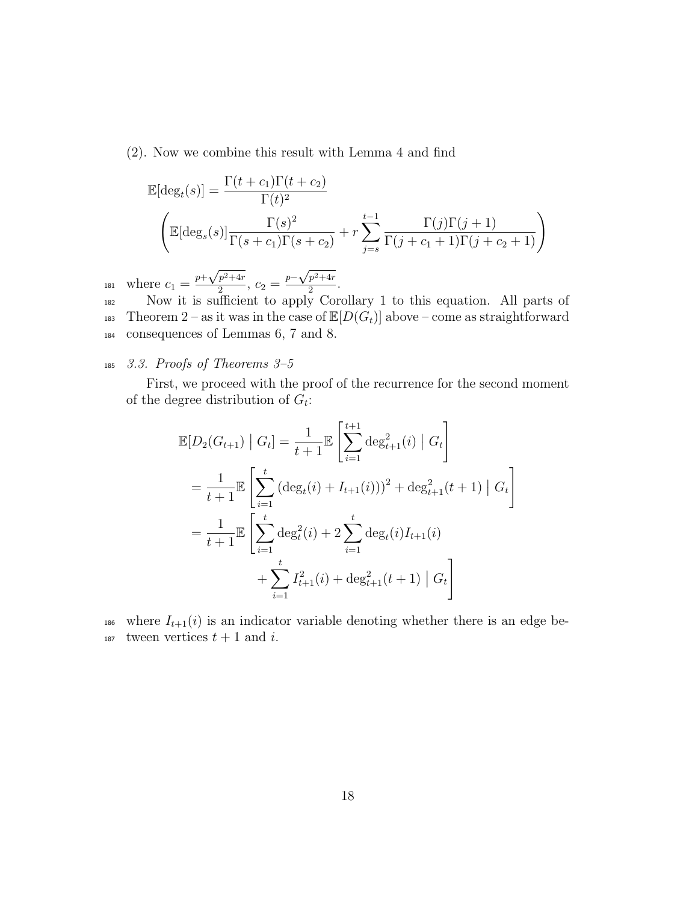(2). Now we combine this result with Lemma 4 and find

$$
\mathbb{E}[\deg_t(s)] = \frac{\Gamma(t+c_1)\Gamma(t+c_2)}{\Gamma(t)^2}
$$

$$
\left(\mathbb{E}[\deg_s(s)]\frac{\Gamma(s)^2}{\Gamma(s+c_1)\Gamma(s+c_2)} + r\sum_{j=s}^{t-1} \frac{\Gamma(j)\Gamma(j+1)}{\Gamma(j+c_1+1)\Gamma(j+c_2+1)}\right)
$$

where  $c_1 = \frac{p + \sqrt{p^2 + 4r}}{2}$  $\sqrt{\frac{p^2+4r}{2}}, c_2 = \frac{p-\sqrt{p^2+4r}}{2}$ 181 where  $c_1 = \frac{p + \sqrt{p^2 + 4r}}{2}$ ,  $c_2 = \frac{p - \sqrt{p^2 + 4r}}{2}$ .

<sup>182</sup> Now it is sufficient to apply Corollary 1 to this equation. All parts of 183 Theorem 2 – as it was in the case of  $\mathbb{E}[D(G_t)]$  above – come as straightforward <sup>184</sup> consequences of Lemmas 6, 7 and 8.

# $185$  3.3. Proofs of Theorems 3-5

First, we proceed with the proof of the recurrence for the second moment of the degree distribution of  $G_t$ :

$$
\mathbb{E}[D_2(G_{t+1}) | G_t] = \frac{1}{t+1} \mathbb{E}\left[\sum_{i=1}^{t+1} \deg_{t+1}^2(i) | G_t\right]
$$
  
=  $\frac{1}{t+1} \mathbb{E}\left[\sum_{i=1}^t (\deg_t(i) + I_{t+1}(i)))^2 + \deg_{t+1}^2(t+1) | G_t\right]$   
=  $\frac{1}{t+1} \mathbb{E}\left[\sum_{i=1}^t \deg_t^2(i) + 2 \sum_{i=1}^t \deg_t(i) I_{t+1}(i) + \sum_{i=1}^t I_{t+1}^2(i) + \deg_{t+1}^2(t+1) | G_t\right]$ 

186 where  $I_{t+1}(i)$  is an indicator variable denoting whether there is an edge be-187 tween vertices  $t + 1$  and i.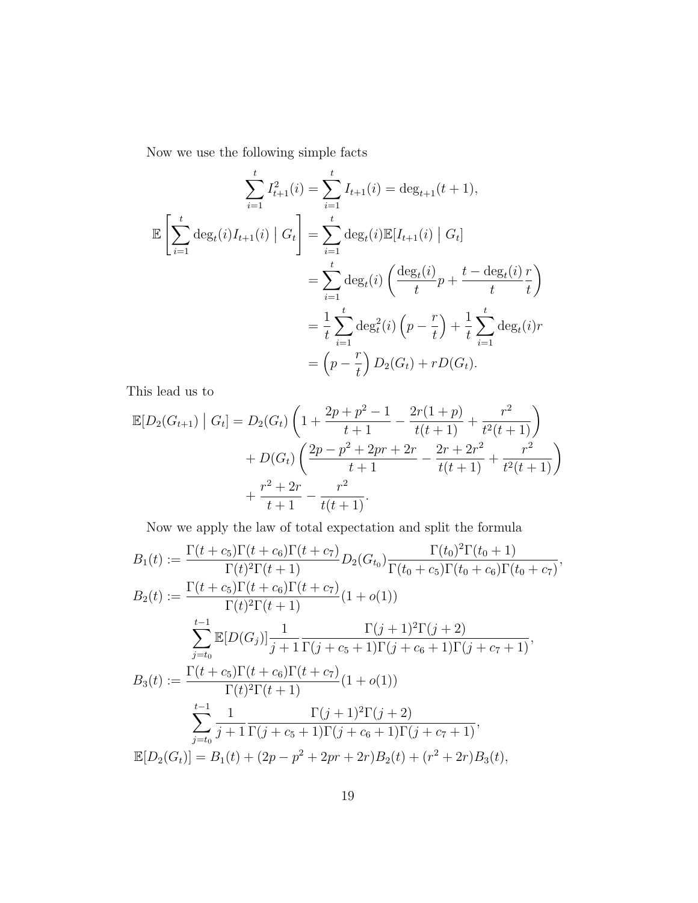Now we use the following simple facts

$$
\sum_{i=1}^{t} I_{t+1}^{2}(i) = \sum_{i=1}^{t} I_{t+1}(i) = \deg_{t+1}(t+1),
$$
  

$$
\mathbb{E}\left[\sum_{i=1}^{t} \deg_{t}(i)I_{t+1}(i) \mid G_{t}\right] = \sum_{i=1}^{t} \deg_{t}(i)\mathbb{E}[I_{t+1}(i) \mid G_{t}]
$$

$$
= \sum_{i=1}^{t} \deg_{t}(i) \left(\frac{\deg_{t}(i)}{t}p + \frac{t - \deg_{t}(i)}{t} \frac{r}{t}\right)
$$

$$
= \frac{1}{t} \sum_{i=1}^{t} \deg_{t}^{2}(i) \left(p - \frac{r}{t}\right) + \frac{1}{t} \sum_{i=1}^{t} \deg_{t}(i)r
$$

$$
= \left(p - \frac{r}{t}\right)D_{2}(G_{t}) + rD(G_{t}).
$$

This lead us to

$$
\mathbb{E}[D_2(G_{t+1}) | G_t] = D_2(G_t) \left( 1 + \frac{2p + p^2 - 1}{t+1} - \frac{2r(1+p)}{t(t+1)} + \frac{r^2}{t^2(t+1)} \right) + D(G_t) \left( \frac{2p - p^2 + 2pr + 2r}{t+1} - \frac{2r + 2r^2}{t(t+1)} + \frac{r^2}{t^2(t+1)} \right) + \frac{r^2 + 2r}{t+1} - \frac{r^2}{t(t+1)}.
$$

Now we apply the law of total expectation and split the formula

$$
B_1(t) := \frac{\Gamma(t + c_5)\Gamma(t + c_6)\Gamma(t + c_7)}{\Gamma(t)^2\Gamma(t + 1)} D_2(G_{t_0}) \frac{\Gamma(t_0)^2\Gamma(t_0 + 1)}{\Gamma(t_0 + c_5)\Gamma(t_0 + c_6)\Gamma(t_0 + c_7)},
$$
  
\n
$$
B_2(t) := \frac{\Gamma(t + c_5)\Gamma(t + c_6)\Gamma(t + c_7)}{\Gamma(t)^2\Gamma(t + 1)} (1 + o(1))
$$
  
\n
$$
\sum_{j=t_0}^{t-1} \mathbb{E}[D(G_j)] \frac{1}{j+1} \frac{\Gamma(j+1)^2\Gamma(j+2)}{\Gamma(j+c_5+1)\Gamma(j+c_6+1)\Gamma(j+c_7+1)},
$$
  
\n
$$
B_3(t) := \frac{\Gamma(t + c_5)\Gamma(t + c_6)\Gamma(t + c_7)}{\Gamma(t)^2\Gamma(t + 1)} (1 + o(1))
$$
  
\n
$$
\sum_{j=t_0}^{t-1} \frac{1}{j+1} \frac{\Gamma(j+1)^2\Gamma(j+2)}{\Gamma(j+c_5+1)\Gamma(j+c_6+1)\Gamma(j+c_7+1)},
$$
  
\n
$$
\mathbb{E}[D_2(G_t)] = B_1(t) + (2p - p^2 + 2pr + 2r)B_2(t) + (r^2 + 2r)B_3(t),
$$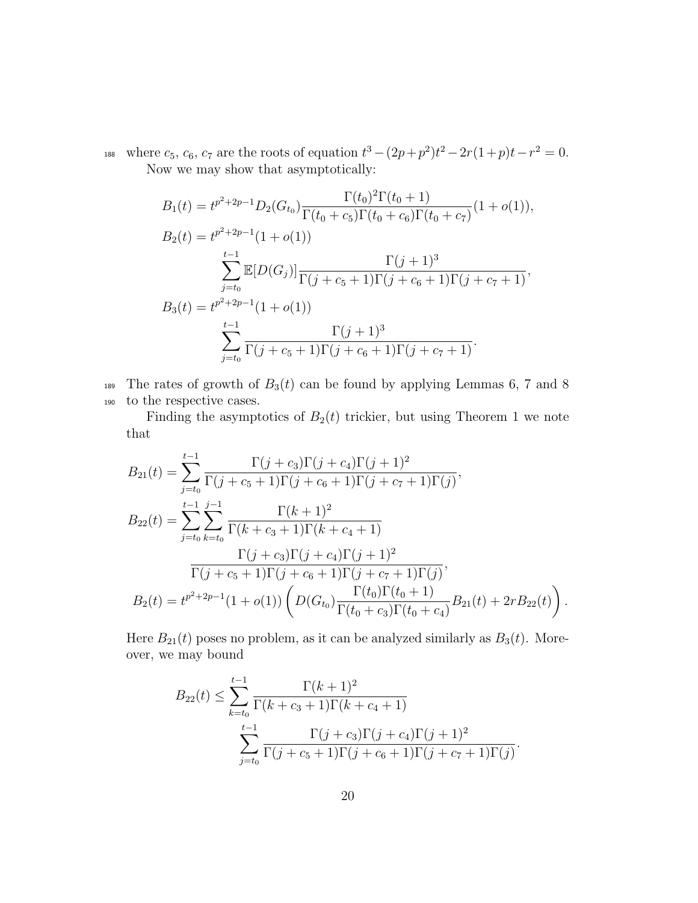188 where  $c_5$ ,  $c_6$ ,  $c_7$  are the roots of equation  $t^3 - (2p+p^2)t^2 - 2r(1+p)t - r^2 = 0$ . Now we may show that asymptotically:

$$
B_1(t) = t^{p^2+2p-1} D_2(G_{t_0}) \frac{\Gamma(t_0)^2 \Gamma(t_0+1)}{\Gamma(t_0+c_5) \Gamma(t_0+c_6) \Gamma(t_0+c_7)} (1+o(1)),
$$
  
\n
$$
B_2(t) = t^{p^2+2p-1} (1+o(1))
$$
  
\n
$$
\sum_{j=t_0}^{t-1} \mathbb{E}[D(G_j)] \frac{\Gamma(j+1)^3}{\Gamma(j+c_5+1) \Gamma(j+c_6+1) \Gamma(j+c_7+1)},
$$
  
\n
$$
B_3(t) = t^{p^2+2p-1} (1+o(1))
$$
  
\n
$$
\sum_{j=t_0}^{t-1} \frac{\Gamma(j+1)^3}{\Gamma(j+c_5+1) \Gamma(j+c_6+1) \Gamma(j+c_7+1)}.
$$

189 The rates of growth of  $B_3(t)$  can be found by applying Lemmas 6, 7 and 8 <sup>190</sup> to the respective cases.

Finding the asymptotics of  $B_2(t)$  trickier, but using Theorem 1 we note that

$$
B_{21}(t) = \sum_{j=t_0}^{t-1} \frac{\Gamma(j+c_3)\Gamma(j+c_4)\Gamma(j+1)^2}{\Gamma(j+c_5+1)\Gamma(j+c_6+1)\Gamma(j+c_7+1)\Gamma(j)},
$$
  
\n
$$
B_{22}(t) = \sum_{j=t_0}^{t-1} \sum_{k=t_0}^{j-1} \frac{\Gamma(k+1)^2}{\Gamma(k+c_3+1)\Gamma(k+c_4+1)}
$$
  
\n
$$
\frac{\Gamma(j+c_3)\Gamma(j+c_4)\Gamma(j+1)^2}{\Gamma(j+c_5+1)\Gamma(j+c_6+1)\Gamma(j+c_7+1)\Gamma(j)},
$$
  
\n
$$
B_2(t) = t^{p^2+2p-1}(1+o(1))\left(D(G_{t_0})\frac{\Gamma(t_0)\Gamma(t_0+1)}{\Gamma(t_0+c_3)\Gamma(t_0+c_4)}B_{21}(t)+2rB_{22}(t)\right).
$$

Here  $B_{21}(t)$  poses no problem, as it can be analyzed similarly as  $B_3(t)$ . Moreover, we may bound

$$
B_{22}(t) \leq \sum_{k=t_0}^{t-1} \frac{\Gamma(k+1)^2}{\Gamma(k+c_3+1)\Gamma(k+c_4+1)}
$$
  

$$
\sum_{j=t_0}^{t-1} \frac{\Gamma(j+c_3)\Gamma(j+c_4)\Gamma(j+1)^2}{\Gamma(j+c_5+1)\Gamma(j+c_6+1)\Gamma(j+c_7+1)\Gamma(j)}.
$$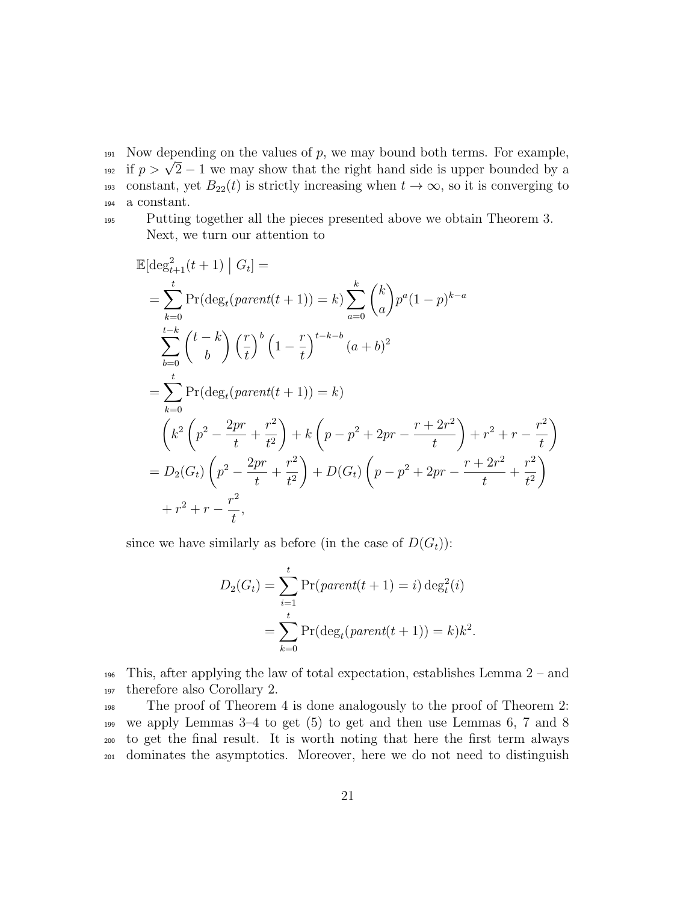$191$  Now depending on the values of p, we may bound both terms. For example, <sup>191</sup> Now depending on the values of p, we may bound both terms. For example,<br><sup>192</sup> if  $p > \sqrt{2} - 1$  we may show that the right hand side is upper bounded by a 193 constant, yet  $B_{22}(t)$  is strictly increasing when  $t \to \infty$ , so it is converging to <sup>194</sup> a constant.

<sup>195</sup> Putting together all the pieces presented above we obtain Theorem 3. Next, we turn our attention to

$$
\mathbb{E}[\deg_{t+1}^{2}(t+1) | G_{t}] =
$$
\n
$$
= \sum_{k=0}^{t} \Pr(\deg_{t}(parent(t+1)) = k) \sum_{a=0}^{k} {k \choose a} p^{a} (1-p)^{k-a}
$$
\n
$$
\sum_{b=0}^{t-k} {t-k \choose b} \left(\frac{r}{t}\right)^{b} \left(1 - \frac{r}{t}\right)^{t-k-b} (a+b)^{2}
$$
\n
$$
= \sum_{k=0}^{t} \Pr(\deg_{t}(parent(t+1)) = k)
$$
\n
$$
\left(k^{2} \left(p^{2} - \frac{2pr}{t} + \frac{r^{2}}{t^{2}}\right) + k \left(p - p^{2} + 2pr - \frac{r + 2r^{2}}{t}\right) + r^{2} + r - \frac{r^{2}}{t}\right)
$$
\n
$$
= D_{2}(G_{t}) \left(p^{2} - \frac{2pr}{t} + \frac{r^{2}}{t^{2}}\right) + D(G_{t}) \left(p - p^{2} + 2pr - \frac{r + 2r^{2}}{t} + \frac{r^{2}}{t^{2}}\right)
$$
\n
$$
+ r^{2} + r - \frac{r^{2}}{t},
$$

since we have similarly as before (in the case of  $D(G_t)$ ):

$$
D_2(G_t) = \sum_{i=1}^t \Pr(\text{parent}(t+1) = i) \deg_t^2(i)
$$
  
= 
$$
\sum_{k=0}^t \Pr(\deg_t(\text{parent}(t+1)) = k)k^2.
$$

<sup>196</sup> This, after applying the law of total expectation, establishes Lemma 2 – and <sup>197</sup> therefore also Corollary 2.

 The proof of Theorem 4 is done analogously to the proof of Theorem 2: we apply Lemmas 3–4 to get (5) to get and then use Lemmas 6, 7 and 8 to get the final result. It is worth noting that here the first term always dominates the asymptotics. Moreover, here we do not need to distinguish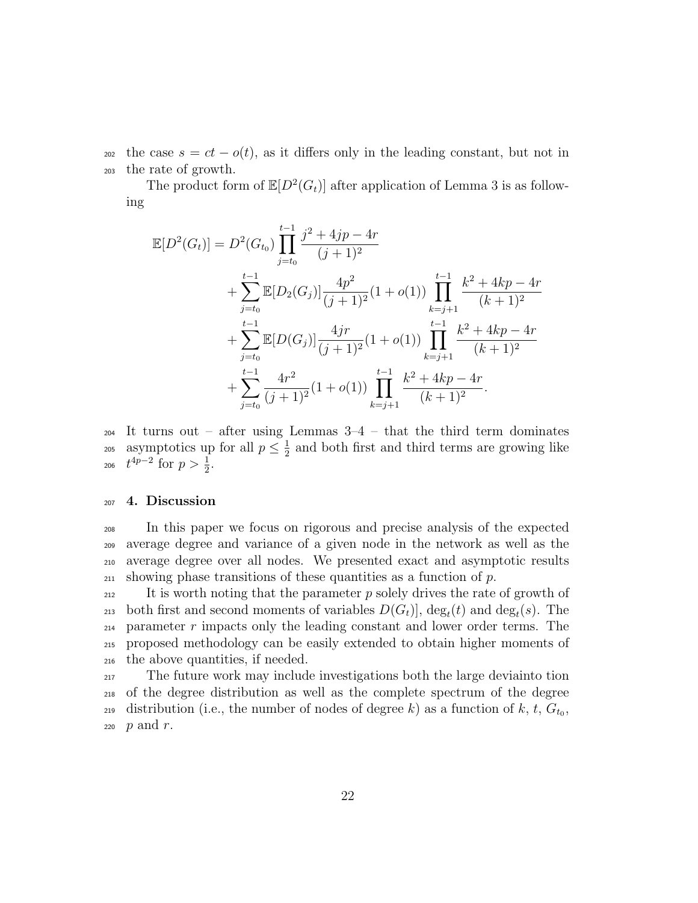202 the case  $s = ct - o(t)$ , as it differs only in the leading constant, but not in <sup>203</sup> the rate of growth.

The product form of  $\mathbb{E}[D^2(G_t)]$  after application of Lemma 3 is as following

$$
\mathbb{E}[D^{2}(G_{t})] = D^{2}(G_{t_{0}}) \prod_{j=t_{0}}^{t-1} \frac{j^{2} + 4jp - 4r}{(j+1)^{2}} \n+ \sum_{j=t_{0}}^{t-1} \mathbb{E}[D_{2}(G_{j})] \frac{4p^{2}}{(j+1)^{2}} (1+o(1)) \prod_{k=j+1}^{t-1} \frac{k^{2} + 4kp - 4r}{(k+1)^{2}} \n+ \sum_{j=t_{0}}^{t-1} \mathbb{E}[D(G_{j})] \frac{4jr}{(j+1)^{2}} (1+o(1)) \prod_{k=j+1}^{t-1} \frac{k^{2} + 4kp - 4r}{(k+1)^{2}} \n+ \sum_{j=t_{0}}^{t-1} \frac{4r^{2}}{(j+1)^{2}} (1+o(1)) \prod_{k=j+1}^{t-1} \frac{k^{2} + 4kp - 4r}{(k+1)^{2}}.
$$

<sup>204</sup> It turns out – after using Lemmas 3–4 – that the third term dominates asymptotics up for all  $p \leq \frac{1}{2}$ <sup>205</sup> asymptotics up for all  $p \leq \frac{1}{2}$  and both first and third terms are growing like 206  $t^{4p-2}$  for  $p > \frac{1}{2}$ .

## <sup>207</sup> 4. Discussion

 In this paper we focus on rigorous and precise analysis of the expected average degree and variance of a given node in the network as well as the average degree over all nodes. We presented exact and asymptotic results  $_{211}$  showing phase transitions of these quantities as a function of p.

<sup>212</sup> It is worth noting that the parameter p solely drives the rate of growth of 213 both first and second moments of variables  $D(G_t)$ ,  $\deg_t(t)$  and  $\deg_t(s)$ . The  $_{214}$  parameter r impacts only the leading constant and lower order terms. The <sup>215</sup> proposed methodology can be easily extended to obtain higher moments of <sup>216</sup> the above quantities, if needed.

<sup>217</sup> The future work may include investigations both the large deviainto tion <sup>218</sup> of the degree distribution as well as the complete spectrum of the degree <sup>219</sup> distribution (i.e., the number of nodes of degree k) as a function of  $k, t, G_{t_0}$ , 220  $p$  and  $r$ .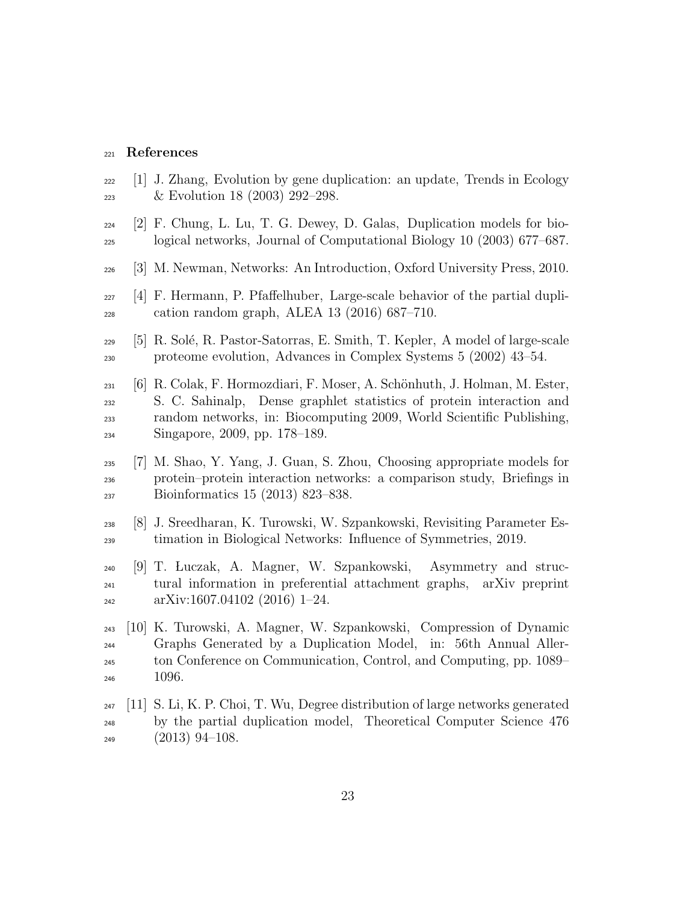#### References

- $_{222}$  [1] J. Zhang, Evolution by gene duplication: an update, Trends in Ecology & Evolution 18 (2003) 292–298.
- [2] F. Chung, L. Lu, T. G. Dewey, D. Galas, Duplication models for bio-logical networks, Journal of Computational Biology 10 (2003) 677–687.
- [3] M. Newman, Networks: An Introduction, Oxford University Press, 2010.
- [4] F. Hermann, P. Pfaffelhuber, Large-scale behavior of the partial dupli-cation random graph, ALEA 13 (2016) 687–710.
- $_{229}$  [5] R. Solé, R. Pastor-Satorras, E. Smith, T. Kepler, A model of large-scale proteome evolution, Advances in Complex Systems 5 (2002) 43–54.
- $_{231}$  [6] R. Colak, F. Hormozdiari, F. Moser, A. Schönhuth, J. Holman, M. Ester, S. C. Sahinalp, Dense graphlet statistics of protein interaction and random networks, in: Biocomputing 2009, World Scientific Publishing, Singapore, 2009, pp. 178–189.
- [7] M. Shao, Y. Yang, J. Guan, S. Zhou, Choosing appropriate models for protein–protein interaction networks: a comparison study, Briefings in Bioinformatics 15 (2013) 823–838.
- [8] J. Sreedharan, K. Turowski, W. Szpankowski, Revisiting Parameter Es-timation in Biological Networks: Influence of Symmetries, 2019.
- [9] T. Luczak, A. Magner, W. Szpankowski, Asymmetry and struc- tural information in preferential attachment graphs, arXiv preprint  $\alpha$ <sup>242</sup> arXiv:1607.04102 (2016) 1–24.
- [10] K. Turowski, A. Magner, W. Szpankowski, Compression of Dynamic Graphs Generated by a Duplication Model, in: 56th Annual Aller- ton Conference on Communication, Control, and Computing, pp. 1089– 1096.
- $_{247}$  [11] S. Li, K. P. Choi, T. Wu, Degree distribution of large networks generated by the partial duplication model, Theoretical Computer Science 476 (2013) 94–108.